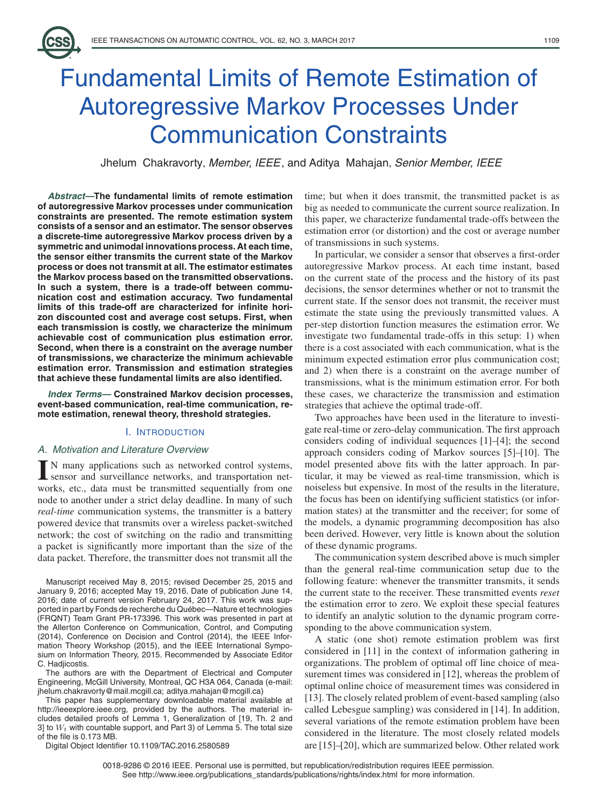# Fundamental Limits of Remote Estimation of Autoregressive Markov Processes Under Communication Constraints

Jhelum Chakravorty, Member, IEEE, and Aditya Mahajan, Senior Member, IEEE

**Abstract—The fundamental limits of remote estimation of autoregressive Markov processes under communication constraints are presented. The remote estimation system consists of a sensor and an estimator. The sensor observes a discrete-time autoregressive Markov process driven by a symmetric and unimodal innovations process. At each time, the sensor either transmits the current state of the Markov process or does not transmit at all. The estimator estimates the Markov process based on the transmitted observations. In such a system, there is a trade-off between communication cost and estimation accuracy. Two fundamental limits of this trade-off are characterized for infinite horizon discounted cost and average cost setups. First, when each transmission is costly, we characterize the minimum achievable cost of communication plus estimation error. Second, when there is a constraint on the average number of transmissions, we characterize the minimum achievable estimation error. Transmission and estimation strategies that achieve these fundamental limits are also identified.**

**Index Terms— Constrained Markov decision processes, event-based communication, real-time communication, remote estimation, renewal theory, threshold strategies.**

## I. INTRODUCTION

#### A. Motivation and Literature Overview

**I**N many applications such as networked control systems,<br>**I** Sensor and surveillance networks, and transportation net-N many applications such as networked control systems, works, etc., data must be transmitted sequentially from one node to another under a strict delay deadline. In many of such *real-time* communication systems, the transmitter is a battery powered device that transmits over a wireless packet-switched network; the cost of switching on the radio and transmitting a packet is significantly more important than the size of the data packet. Therefore, the transmitter does not transmit all the

Manuscript received May 8, 2015; revised December 25, 2015 and January 9, 2016; accepted May 19, 2016. Date of publication June 14, 2016; date of current version February 24, 2017. This work was supported in part by Fonds de recherche du Québec—Nature et technologies (FRQNT) Team Grant PR-173396. This work was presented in part at the Allerton Conference on Communication, Control, and Computing (2014), Conference on Decision and Control (2014), the IEEE Information Theory Workshop (2015), and the IEEE International Symposium on Information Theory, 2015. Recommended by Associate Editor C. Hadiicostis.

The authors are with the Department of Electrical and Computer Engineering, McGill University, Montreal, QC H3A 064, Canada (e-mail: jhelum.chakravorty@mail.mcgill.ca; aditya.mahajan@mcgill.ca)

This paper has supplementary downloadable material available at http://ieeexplore.ieee.org, provided by the authors. The material includes detailed proofs of Lemma 1, Generalization of [19, Th. 2 and 3] to  $W_t$  with countable support, and Part 3) of Lemma 5. The total size of the file is 0.173 MB.

Digital Object Identifier 10.1109/TAC.2016.2580589

time; but when it does transmit, the transmitted packet is as big as needed to communicate the current source realization. In this paper, we characterize fundamental trade-offs between the estimation error (or distortion) and the cost or average number of transmissions in such systems.

In particular, we consider a sensor that observes a first-order autoregressive Markov process. At each time instant, based on the current state of the process and the history of its past decisions, the sensor determines whether or not to transmit the current state. If the sensor does not transmit, the receiver must estimate the state using the previously transmitted values. A per-step distortion function measures the estimation error. We investigate two fundamental trade-offs in this setup: 1) when there is a cost associated with each communication, what is the minimum expected estimation error plus communication cost; and 2) when there is a constraint on the average number of transmissions, what is the minimum estimation error. For both these cases, we characterize the transmission and estimation strategies that achieve the optimal trade-off.

Two approaches have been used in the literature to investigate real-time or zero-delay communication. The first approach considers coding of individual sequences [1]–[4]; the second approach considers coding of Markov sources [5]–[10]. The model presented above fits with the latter approach. In particular, it may be viewed as real-time transmission, which is noiseless but expensive. In most of the results in the literature, the focus has been on identifying sufficient statistics (or information states) at the transmitter and the receiver; for some of the models, a dynamic programming decomposition has also been derived. However, very little is known about the solution of these dynamic programs.

The communication system described above is much simpler than the general real-time communication setup due to the following feature: whenever the transmitter transmits, it sends the current state to the receiver. These transmitted events *reset* the estimation error to zero. We exploit these special features to identify an analytic solution to the dynamic program corresponding to the above communication system.

A static (one shot) remote estimation problem was first considered in [11] in the context of information gathering in organizations. The problem of optimal off line choice of measurement times was considered in [12], whereas the problem of optimal online choice of measurement times was considered in [13]. The closely related problem of event-based sampling (also called Lebesgue sampling) was considered in [14]. In addition, several variations of the remote estimation problem have been considered in the literature. The most closely related models are [15]–[20], which are summarized below. Other related work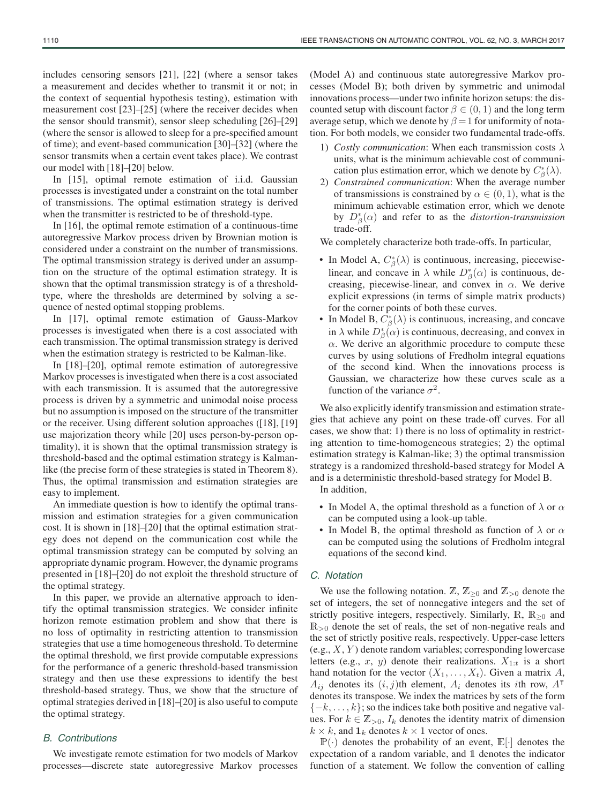includes censoring sensors [21], [22] (where a sensor takes a measurement and decides whether to transmit it or not; in the context of sequential hypothesis testing), estimation with measurement cost [23]–[25] (where the receiver decides when the sensor should transmit), sensor sleep scheduling [26]–[29] (where the sensor is allowed to sleep for a pre-specified amount of time); and event-based communication [30]–[32] (where the sensor transmits when a certain event takes place). We contrast our model with [18]–[20] below.

In [15], optimal remote estimation of i.i.d. Gaussian processes is investigated under a constraint on the total number of transmissions. The optimal estimation strategy is derived when the transmitter is restricted to be of threshold-type.

In [16], the optimal remote estimation of a continuous-time autoregressive Markov process driven by Brownian motion is considered under a constraint on the number of transmissions. The optimal transmission strategy is derived under an assumption on the structure of the optimal estimation strategy. It is shown that the optimal transmission strategy is of a thresholdtype, where the thresholds are determined by solving a sequence of nested optimal stopping problems.

In [17], optimal remote estimation of Gauss-Markov processes is investigated when there is a cost associated with each transmission. The optimal transmission strategy is derived when the estimation strategy is restricted to be Kalman-like.

In [18]–[20], optimal remote estimation of autoregressive Markov processes is investigated when there is a cost associated with each transmission. It is assumed that the autoregressive process is driven by a symmetric and unimodal noise process but no assumption is imposed on the structure of the transmitter or the receiver. Using different solution approaches ([18], [19] use majorization theory while [20] uses person-by-person optimality), it is shown that the optimal transmission strategy is threshold-based and the optimal estimation strategy is Kalmanlike (the precise form of these strategies is stated in Theorem 8). Thus, the optimal transmission and estimation strategies are easy to implement.

An immediate question is how to identify the optimal transmission and estimation strategies for a given communication cost. It is shown in [18]–[20] that the optimal estimation strategy does not depend on the communication cost while the optimal transmission strategy can be computed by solving an appropriate dynamic program. However, the dynamic programs presented in [18]–[20] do not exploit the threshold structure of the optimal strategy.

In this paper, we provide an alternative approach to identify the optimal transmission strategies. We consider infinite horizon remote estimation problem and show that there is no loss of optimality in restricting attention to transmission strategies that use a time homogeneous threshold. To determine the optimal threshold, we first provide computable expressions for the performance of a generic threshold-based transmission strategy and then use these expressions to identify the best threshold-based strategy. Thus, we show that the structure of optimal strategies derived in [18]–[20] is also useful to compute the optimal strategy.

#### B. Contributions

We investigate remote estimation for two models of Markov processes—discrete state autoregressive Markov processes (Model A) and continuous state autoregressive Markov processes (Model B); both driven by symmetric and unimodal innovations process—under two infinite horizon setups: the discounted setup with discount factor  $\beta \in (0, 1)$  and the long term average setup, which we denote by  $\beta = 1$  for uniformity of notation. For both models, we consider two fundamental trade-offs.

- 1) *Costly communication*: When each transmission costs λ units, what is the minimum achievable cost of communication plus estimation error, which we denote by  $C^*_{\beta}(\lambda)$ .
- 2) *Constrained communication*: When the average number of transmissions is constrained by  $\alpha \in (0,1)$ , what is the minimum achievable estimation error, which we denote by  $D^*_{\beta}(\alpha)$  and refer to as the *distortion-transmission* trade-off.

We completely characterize both trade-offs. In particular,

- In Model A,  $C^*_{\beta}(\lambda)$  is continuous, increasing, piecewiselinear, and concave in  $\lambda$  while  $D^*_{\beta}(\alpha)$  is continuous, decreasing, piecewise-linear, and convex in  $\alpha$ . We derive explicit expressions (in terms of simple matrix products) for the corner points of both these curves.
- In Model B,  $C^*_{\beta}(\lambda)$  is continuous, increasing, and concave in  $\lambda$  while  $D^*_{\beta}(\alpha)$  is continuous, decreasing, and convex in  $\alpha$ . We derive an algorithmic procedure to compute these curves by using solutions of Fredholm integral equations of the second kind. When the innovations process is Gaussian, we characterize how these curves scale as a function of the variance  $\sigma^2$ .

We also explicitly identify transmission and estimation strategies that achieve any point on these trade-off curves. For all cases, we show that: 1) there is no loss of optimality in restricting attention to time-homogeneous strategies; 2) the optimal estimation strategy is Kalman-like; 3) the optimal transmission strategy is a randomized threshold-based strategy for Model A and is a deterministic threshold-based strategy for Model B.

In addition,

- In Model A, the optimal threshold as a function of  $\lambda$  or  $\alpha$ can be computed using a look-up table.
- In Model B, the optimal threshold as function of  $\lambda$  or  $\alpha$ can be computed using the solutions of Fredholm integral equations of the second kind.

## C. Notation

We use the following notation.  $\mathbb{Z}, \mathbb{Z}_{\geq 0}$  and  $\mathbb{Z}_{>0}$  denote the set of integers, the set of nonnegative integers and the set of strictly positive integers, respectively. Similarly,  $\mathbb{R}$ ,  $\mathbb{R}_{\geq 0}$  and  $\mathbb{R}_{>0}$  denote the set of reals, the set of non-negative reals and the set of strictly positive reals, respectively. Upper-case letters  $(e.g., X, Y)$  denote random variables; corresponding lowercase letters (e.g., x, y) denote their realizations.  $X_{1:t}$  is a short hand notation for the vector  $(X_1, \ldots, X_t)$ . Given a matrix A,  $A_{ij}$  denotes its  $(i, j)$ th element,  $A_i$  denotes its *i*th row,  $A^{\dagger}$ denotes its transpose. We index the matrices by sets of the form  $\{-k,\ldots,k\}$ ; so the indices take both positive and negative values. For  $k \in \mathbb{Z}_{>0}$ ,  $I_k$  denotes the identity matrix of dimension  $k \times k$ , and  $\mathbf{1}_k$  denotes  $k \times 1$  vector of ones.

 $\mathbb{P}(\cdot)$  denotes the probability of an event,  $\mathbb{E}[\cdot]$  denotes the expectation of a random variable, and 1 denotes the indicator function of a statement. We follow the convention of calling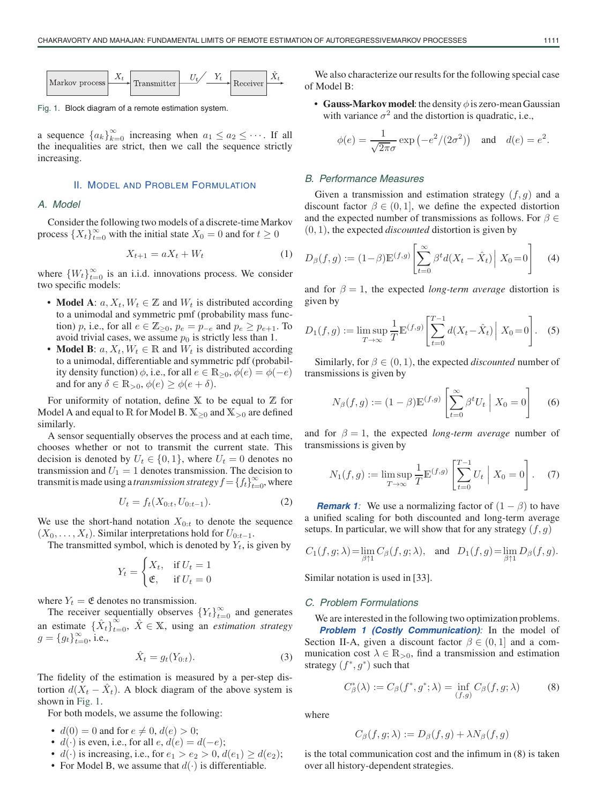

Fig. 1. Block diagram of a remote estimation system.

a sequence  ${a_k}_{k=0}^{\infty}$  increasing when  $a_1 \le a_2 \le \cdots$ . If all the inequalities are strict, then we call the sequence strictly increasing.

## II. MODEL AND PROBLEM FORMULATION

## A. Model

Consider the following two models of a discrete-time Markov process  $\{X_t\}_{t=0}^{\infty}$  with the initial state  $X_0 = 0$  and for  $t \ge 0$ 

$$
X_{t+1} = aX_t + W_t \tag{1}
$$

where  ${W_t}_{t=0}^{\infty}$  is an i.i.d. innovations process. We consider two specific models:

- **Model A**:  $a, X_t, W_t \in \mathbb{Z}$  and  $W_t$  is distributed according to a unimodal and symmetric pmf (probability mass function) p, i.e., for all  $e \in \mathbb{Z}_{\geq 0}$ ,  $p_e = p_{-e}$  and  $p_e \geq p_{e+1}$ . To avoid trivial cases, we assume  $p_0$  is strictly less than 1.
- **Model B**:  $a, X_t, W_t \in \mathbb{R}$  and  $W_t$  is distributed according to a unimodal, differentiable and symmetric pdf (probability density function)  $\phi$ , i.e., for all  $e \in \mathbb{R}_{\geq 0}$ ,  $\phi(e) = \phi(-e)$ and for any  $\delta \in \mathbb{R}_{>0}$ ,  $\phi(e) \geq \phi(e+\delta)$ .

For uniformity of notation, define  $X$  to be equal to  $Z$  for Model A and equal to R for Model B.  $\mathbb{X}_{\geq 0}$  and  $\mathbb{X}_{>0}$  are defined similarly.

A sensor sequentially observes the process and at each time, chooses whether or not to transmit the current state. This decision is denoted by  $U_t \in \{0, 1\}$ , where  $U_t = 0$  denotes no transmission and  $U_1 = 1$  denotes transmission. The decision to transmit is made using a *transmission strategy*  $f = \{f_t\}_{t=0}^{\infty}$ , where

$$
U_t = f_t(X_{0:t}, U_{0:t-1}).
$$
\n(2)

We use the short-hand notation  $X_{0:t}$  to denote the sequence  $(X_0, \ldots, X_t)$ . Similar interpretations hold for  $U_{0:t-1}$ .

The transmitted symbol, which is denoted by  $Y_t$ , is given by

$$
Y_t = \begin{cases} X_t, & \text{if } U_t = 1\\ \mathfrak{E}, & \text{if } U_t = 0 \end{cases}
$$

where  $Y_t = \mathfrak{E}$  denotes no transmission.

The receiver sequentially observes  ${Y_t}_{t=0}^{\infty}$  and generates an estimate  $\{\hat{X}_t\}_{t=0}^{\infty}$ ,  $\hat{X} \in \mathbb{X}$ , using an *estimation strategy*  $g = \{g_t\}_{t=0}^{\infty}$ , i.e.,

$$
\hat{X}_t = g_t(Y_{0:t}).\tag{3}
$$

The fidelity of the estimation is measured by a per-step distortion  $d(X_t - \hat{X}_t)$ . A block diagram of the above system is shown in Fig. 1.

For both models, we assume the following:

- $d(0) = 0$  and for  $e \neq 0$ ,  $d(e) > 0$ ;
- $d(\cdot)$  is even, i.e., for all  $e, d(e) = d(-e)$ ;
- $d(\cdot)$  is increasing, i.e., for  $e_1 > e_2 > 0$ ,  $d(e_1) \geq d(e_2)$ ;
- For Model B, we assume that  $d(\cdot)$  is differentiable.

We also characterize our results for the following special case of Model B:

• **Gauss-Markov model**: the density  $\phi$  is zero-mean Gaussian with variance  $\sigma^2$  and the distortion is quadratic, i.e.,

$$
\phi(e) = \frac{1}{\sqrt{2\pi}\sigma} \exp\left(-e^2/(2\sigma^2)\right) \quad \text{and} \quad d(e) = e^2.
$$

## B. Performance Measures

Given a transmission and estimation strategy  $(f, g)$  and a discount factor  $\beta \in (0, 1]$ , we define the expected distortion and the expected number of transmissions as follows. For  $\beta \in$ (0, 1), the expected *discounted* distortion is given by

$$
D_{\beta}(f,g) := (1-\beta)\mathbb{E}^{(f,g)}\left[\sum_{t=0}^{\infty} \beta^t d(X_t - \hat{X}_t) \Big| X_0 = 0\right]
$$
 (4)

and for  $\beta = 1$ , the expected *long-term average* distortion is given by

$$
D_1(f,g) := \limsup_{T \to \infty} \frac{1}{T} \mathbb{E}^{(f,g)} \left[ \sum_{t=0}^{T-1} d(X_t - \hat{X}_t) \, \middle| \, X_0 = 0 \right]. \tag{5}
$$

Similarly, for  $\beta \in (0, 1)$ , the expected *discounted* number of transmissions is given by

$$
N_{\beta}(f,g) := (1 - \beta) \mathbb{E}^{(f,g)} \left[ \sum_{t=0}^{\infty} \beta^t U_t \middle| X_0 = 0 \right] \tag{6}
$$

and for  $\beta = 1$ , the expected *long-term average* number of transmissions is given by

$$
N_1(f,g) := \limsup_{T \to \infty} \frac{1}{T} \mathbb{E}^{(f,g)} \left[ \sum_{t=0}^{T-1} U_t \middle| X_0 = 0 \right]. \tag{7}
$$

**Remark 1**: We use a normalizing factor of  $(1 - \beta)$  to have a unified scaling for both discounted and long-term average setups. In particular, we will show that for any strategy  $(f,g)$ 

$$
C_1(f, g; \lambda) = \lim_{\beta \uparrow 1} C_\beta(f, g; \lambda), \text{ and } D_1(f, g) = \lim_{\beta \uparrow 1} D_\beta(f, g).
$$

Similar notation is used in [33].

#### C. Problem Formulations

We are interested in the following two optimization problems. **Problem 1 (Costly Communication)**: In the model of Section II-A, given a discount factor  $\beta \in (0, 1]$  and a communication cost  $\lambda \in \mathbb{R}_{>0}$ , find a transmission and estimation strategy  $(f^*, g^*)$  such that

$$
C_{\beta}^*(\lambda) := C_{\beta}(f^*, g^*; \lambda) = \inf_{(f,g)} C_{\beta}(f, g; \lambda)
$$
 (8)

where

$$
C_{\beta}(f,g;\lambda) := D_{\beta}(f,g) + \lambda N_{\beta}(f,g)
$$

is the total communication cost and the infimum in (8) is taken over all history-dependent strategies.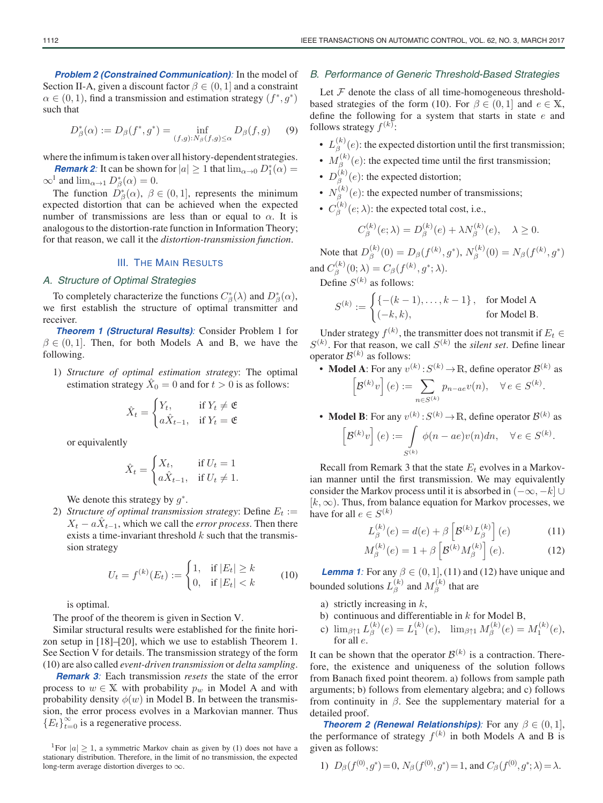**Problem 2 (Constrained Communication)**: In the model of Section II-A, given a discount factor  $\beta \in (0, 1]$  and a constraint  $\alpha \in (0, 1)$ , find a transmission and estimation strategy  $(f^*, g^*)$ such that

$$
D_{\beta}^{*}(\alpha) := D_{\beta}(f^{*}, g^{*}) = \inf_{(f,g): N_{\beta}(f,g) \le \alpha} D_{\beta}(f,g)
$$
(9)

where the infimum is taken over all history-dependentstrategies.

**Remark 2:** It can be shown for  $|a| \ge 1$  that  $\lim_{\alpha \to 0} D_1^*(\alpha) =$  $\infty$ <sup>1</sup> and  $\lim_{\alpha \to 1} D^*_{\beta}(\alpha) = 0$ .

The function  $D^*_{\beta}(\alpha)$ ,  $\beta \in (0,1]$ , represents the minimum expected distortion that can be achieved when the expected number of transmissions are less than or equal to  $\alpha$ . It is analogous to the distortion-rate function in Information Theory; for that reason, we call it the *distortion-transmission function*.

## III. THE MAIN RESULTS

#### A. Structure of Optimal Strategies

To completely characterize the functions  $C^*_{\beta}(\lambda)$  and  $D^*_{\beta}(\alpha)$ , we first establish the structure of optimal transmitter and receiver.

**Theorem 1 (Structural Results)**: Consider Problem 1 for  $\beta \in (0, 1]$ . Then, for both Models A and B, we have the following.

1) *Structure of optimal estimation strategy*: The optimal estimation strategy  $\hat{X}_0 = 0$  and for  $t > 0$  is as follows:

$$
\hat{X}_t = \begin{cases} Y_t, & \text{if } Y_t \neq \mathfrak{E} \\ a\hat{X}_{t-1}, & \text{if } Y_t = \mathfrak{E} \end{cases}
$$

or equivalently

$$
\hat{X}_t = \begin{cases} X_t, & \text{if } U_t = 1\\ a\hat{X}_{t-1}, & \text{if } U_t \neq 1. \end{cases}
$$

We denote this strategy by  $g^*$ .

2) *Structure of optimal transmission strategy:* Define  $E_t$  :=  $X_t - a\hat{X}_{t-1}$ , which we call the *error process*. Then there exists a time-invariant threshold  $k$  such that the transmission strategy

$$
U_t = f^{(k)}(E_t) := \begin{cases} 1, & \text{if } |E_t| \ge k \\ 0, & \text{if } |E_t| < k \end{cases}
$$
 (10)

is optimal.

The proof of the theorem is given in Section V.

Similar structural results were established for the finite horizon setup in [18]–[20], which we use to establish Theorem 1. See Section V for details. The transmission strategy of the form (10) are also called *event-driven transmission* or *delta sampling*.

**Remark 3**: Each transmission *resets* the state of the error process to  $w \in X$  with probability  $p_w$  in Model A and with probability density  $\phi(w)$  in Model B. In between the transmission, the error process evolves in a Markovian manner. Thus  ${E_t}_{t=0}^{\infty}$  is a regenerative process.

## B. Performance of Generic Threshold-Based Strategies

Let  $F$  denote the class of all time-homogeneous thresholdbased strategies of the form (10). For  $\beta \in (0, 1]$  and  $e \in X$ , define the following for a system that starts in state e and follows strategy  $f^{(k)}$ :

- $\bullet$   $L_{{\beta}}^{(k)}$  $\beta^{(k)}(e)$ : the expected distortion until the first transmission;
- $\bullet$   $M_{{\beta}}^{(k)}$  $\beta^{(k)}(e)$ : the expected time until the first transmission;
- $D_{\beta}^{(k)}(e)$ : the expected distortion; β
- $\bullet~~ N^{(k)}_{\beta}$  $\beta^{(k)}(e)$ : the expected number of transmissions;
- $\bullet$   $C^{(k)}_{\beta}$  $\beta^{(\kappa)}(e; \lambda)$ : the expected total cost, i.e.,

$$
C_{\beta}^{(k)}(e;\lambda) = D_{\beta}^{(k)}(e) + \lambda N_{\beta}^{(k)}(e), \quad \lambda \ge 0.
$$

Note that  $D_{\beta}^{(k)}$  $\beta^{(k)}(\theta) = D_{\beta}(f^{(k)}, g^*), N_{\beta}^{(k)}$  $S^{(k)}_{\beta}(0) = N_{\beta}(f^{(k)},g^*)$ and  $C^{(k)}_{\beta}$  $C_{\beta}^{(k)}(0;\lambda) = C_{\beta}(f^{(k)},g^*;\lambda).$ 

Define  $S^{(k)}$  as follows:

$$
S^{(k)} := \begin{cases} \{-(k-1), \dots, k-1\} \,, & \text{for Model A} \\ (-k, k), & \text{for Model B.} \end{cases}
$$

Under strategy  $f^{(k)}$ , the transmitter does not transmit if  $E_t \in$  $S^{(k)}$ . For that reason, we call  $S^{(k)}$  the *silent set*. Define linear operator  $\mathcal{B}^{(k)}$  as follows:

- **Model A**: For any  $v^{(k)}$ :  $S^{(k)} \to \mathbb{R}$ , define operator  $\mathcal{B}^{(k)}$  as  $\left[\mathcal{B}^{(k)}v\right](e) := \sum$  $n \in S(k)$  $p_{n-ae}v(n), \quad \forall e \in S^{(k)}.$
- **Model B**: For any  $v^{(k)}$ :  $S^{(k)} \to \mathbb{R}$ , define operator  $\mathcal{B}^{(k)}$  as

$$
\[B^{(k)}v\]\ (e) := \int\limits_{S^{(k)}} \phi(n - ae)v(n)dn, \quad \forall e \in S^{(k)}.
$$

Recall from Remark 3 that the state  $E_t$  evolves in a Markovian manner until the first transmission. We may equivalently consider the Markov process until it is absorbed in  $(-\infty, -k]$  ∪  $[k, \infty)$ . Thus, from balance equation for Markov processes, we have for all  $e \in S^{(k)}$ 

$$
L_{\beta}^{(k)}(e) = d(e) + \beta \left[ \mathcal{B}^{(k)} L_{\beta}^{(k)} \right](e) \tag{11}
$$

$$
M_{\beta}^{(k)}(e) = 1 + \beta \left[ \mathcal{B}^{(k)} M_{\beta}^{(k)} \right](e).
$$
 (12)

**Lemma 1**: For any  $\beta \in (0, 1]$ , (11) and (12) have unique and bounded solutions  $L_{\beta}^{(k)}$  $\mathcal{A}_{\beta}^{(k)}$  and  $M_{\beta}^{(k)}$  $\beta^{\kappa}$  that are

- a) strictly increasing in  $k$ ,
- b) continuous and differentiable in  $k$  for Model B,
- c)  $\lim_{\beta \uparrow 1} L_{\beta}^{(k)}$  $\binom{k}{\beta}(e) = L_1^{(k)}(e), \quad \lim_{\beta \uparrow 1} M_{\beta}^{(k)}$  $\beta^{(k)}(e) = M_1^{(k)}(e),$ for all e.

It can be shown that the operator  $\mathcal{B}^{(k)}$  is a contraction. Therefore, the existence and uniqueness of the solution follows from Banach fixed point theorem. a) follows from sample path arguments; b) follows from elementary algebra; and c) follows from continuity in  $\beta$ . See the supplementary material for a detailed proof.

**Theorem 2 (Renewal Relationships)**: For any  $\beta \in (0,1]$ , the performance of strategy  $f^{(k)}$  in both Models A and B is given as follows:

1) 
$$
D_{\beta}(f^{(0)}, g^*) = 0
$$
,  $N_{\beta}(f^{(0)}, g^*) = 1$ , and  $C_{\beta}(f^{(0)}, g^*; \lambda) = \lambda$ .

<sup>&</sup>lt;sup>1</sup>For  $|a| \ge 1$ , a symmetric Markov chain as given by (1) does not have a stationary distribution. Therefore, in the limit of no transmission, the expected long-term average distortion diverges to  $\infty$ .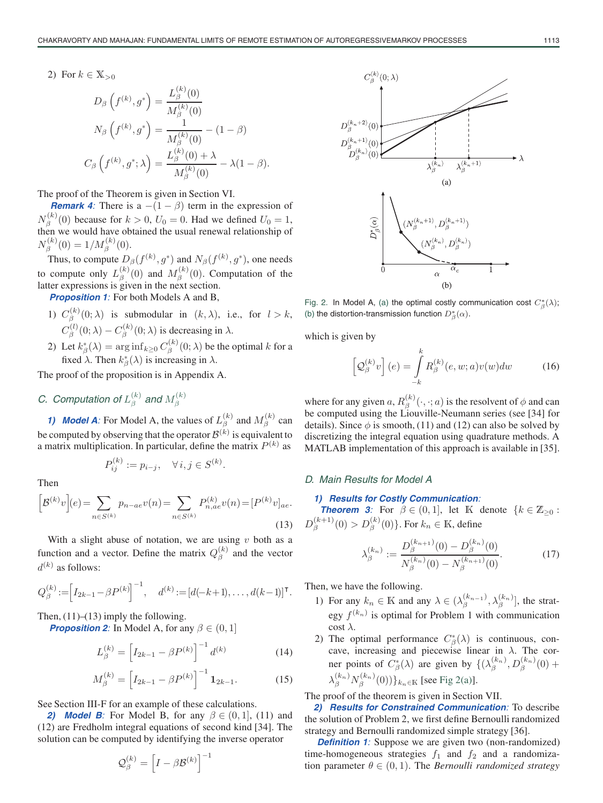2) For  $k \in \mathbb{X}_{>0}$ 

$$
D_{\beta}\left(f^{(k)}, g^{*}\right) = \frac{L_{\beta}^{(k)}(0)}{M_{\beta}^{(k)}(0)}
$$

$$
N_{\beta}\left(f^{(k)}, g^{*}\right) = \frac{1}{M_{\beta}^{(k)}(0)} - (1 - \beta)
$$

$$
C_{\beta}\left(f^{(k)}, g^{*}; \lambda\right) = \frac{L_{\beta}^{(k)}(0) + \lambda}{M_{\beta}^{(k)}(0)} - \lambda(1 - \beta).
$$

The proof of the Theorem is given in Section VI.

**Remark 4**: There is a  $-(1 - \beta)$  term in the expression of  $N_{\beta}^{(k)}$  $\beta_{\beta}^{(k)}(0)$  because for  $k > 0$ ,  $U_0 = 0$ . Had we defined  $U_0 = 1$ , then we would have obtained the usual renewal relationship of  $N_{\beta}^{(k)}$  $\beta^{(k)}(\theta) = 1/M_{\beta}^{(k)}(0).$ 

Thus, to compute  $D_{\beta}(f^{(k)}, g^*)$  and  $N_{\beta}(f^{(k)}, g^*)$ , one needs to compute only  $L_{\beta}^{(k)}$  $\binom{k}{\beta}(0)$  and  $M_{\beta}^{(k)}$  $\beta^{(k)}(0)$ . Computation of the latter expressions is given in the next section.

**Proposition 1**: For both Models A and B,

- 1)  $C_8^{(k)}$  $\beta_{\beta}^{(\kappa)}(0;\lambda)$  is submodular in  $(k,\lambda)$ , i.e., for  $l>k$ ,  $C^{(l)}_{\beta}$  $C^{(l)}_{\beta}(0;\lambda)-C^{(k)}_{\beta}$  $\beta^{(\kappa)}(0;\lambda)$  is decreasing in  $\lambda$ .
- 2) Let  $k^*_{\beta}(\lambda) = \arg\inf_{k \geq 0} C_{\beta}^{(k)}$  $\beta^{(k)}(0; \lambda)$  be the optimal k for a fixed  $\lambda$ . Then  $k^*_{\beta}(\lambda)$  is increasing in  $\lambda$ .

The proof of the proposition is in Appendix A.

#### C. Computation of  $L^{(k)}_{\beta}$  $_\beta^{(k)}$  and  $M_\beta^{(k)}$ β

**1) Model A**: For Model A, the values of  $L_8^{(k)}$  $\mathcal{A}_{\beta}^{(k)}$  and  $M_{\beta}^{(k)}$  $\int_{\beta}^{(\kappa)}$  can be computed by observing that the operator  $\mathcal{B}^{(k)}$  is equivalent to a matrix multiplication. In particular, define the matrix  $P^{(k)}$  as

$$
P_{ij}^{(k)} := p_{i-j}, \quad \forall i, j \in S^{(k)}.
$$

Then

$$
\[B^{(k)}v\] (e) = \sum_{n \in S^{(k)}} p_{n-ae}v(n) = \sum_{n \in S^{(k)}} P_{n,ae}^{(k)}v(n) = [P^{(k)}v]_{ae}.\tag{13}
$$

With a slight abuse of notation, we are using  $v$  both as a function and a vector. Define the matrix  $Q_{\beta}^{(k)}$  $\beta^{(\kappa)}$  and the vector  $d^{(k)}$  as follows:

$$
Q_{\beta}^{(k)} := [I_{2k-1} - \beta P^{(k)}]^{-1}, \quad d^{(k)} := [d(-k+1), \dots, d(k-1)]^{\mathsf{T}}.
$$

Then,  $(11)$ – $(13)$  imply the following.

**Proposition 2**: In Model A, for any  $\beta \in (0, 1]$ 

$$
L_{\beta}^{(k)} = \left[ I_{2k-1} - \beta P^{(k)} \right]^{-1} d^{(k)} \tag{14}
$$

$$
M_{\beta}^{(k)} = \left[I_{2k-1} - \beta P^{(k)}\right]^{-1} \mathbf{1}_{2k-1}.
$$
 (15)

See Section III-F for an example of these calculations.

**2) Model B**: For Model B, for any  $\beta \in (0,1]$ , (11) and (12) are Fredholm integral equations of second kind [34]. The solution can be computed by identifying the inverse operator

$$
\mathcal{Q}_\beta^{(k)} = \left[I - \beta \mathcal{B}^{(k)}\right]^{-1}
$$



Fig. 2. In Model A, (a) the optimal costly communication cost  $C^*_\beta(\lambda)$ ; (b) the distortion-transmission function  $D^*_{\beta}(\alpha)$ .

which is given by

$$
\left[\mathcal{Q}_{\beta}^{(k)}v\right](e) = \int\limits_{-k}^{k} R_{\beta}^{(k)}(e, w; a)v(w)dw \tag{16}
$$

where for any given a,  $R_{\beta}^{(k)}$  $\binom{k}{\beta}(\cdot, \cdot; a)$  is the resolvent of  $\phi$  and can be computed using the Liouville-Neumann series (see [34] for details). Since  $\phi$  is smooth, (11) and (12) can also be solved by discretizing the integral equation using quadrature methods. A MATLAB implementation of this approach is available in [35].

## D. Main Results for Model A

## **1) Results for Costly Communication**:

**Theorem 3**: For  $\beta \in (0, 1]$ , let K denote  $\{k \in \mathbb{Z}_{\geq 0}$ :  $D_{\beta}^{(k+1)}$  $\beta_{\beta}^{(k+1)}(0) > D_{\beta}^{(k)}(0)\}.$  For  $k_n \in \mathbb{K}$ , define

$$
\lambda_{\beta}^{(k_n)} := \frac{D_{\beta}^{(k_{n+1})}(0) - D_{\beta}^{(k_n)}(0)}{N_{\beta}^{(k_n)}(0) - N_{\beta}^{(k_{n+1})}(0)}.
$$
\n(17)

Then, we have the following.

- 1) For any  $k_n \in \mathbb{K}$  and any  $\lambda \in (\lambda_{\beta}^{(k_{n-1})}, \lambda_{\beta}^{(k_n)})$ , the strategy  $f^{(k_n)}$  is optimal for Problem 1 with communication  $\cosh \lambda$ .
- 2) The optimal performance  $C^*_{\beta}(\lambda)$  is continuous, concave, increasing and piecewise linear in  $\lambda$ . The corner points of  $C^*_{\beta}(\lambda)$  are given by  $\{(\lambda_\beta^{(k_n)}, D_\beta^{(k_n)}(0) + \alpha\}$  $\lambda_{\beta}^{(k_n)} N_{\beta}^{(k_n)}(0))\}_{k_n \in \mathbb{K}}$  [see Fig 2(a)].

The proof of the theorem is given in Section VII.

**2) Results for Constrained Communication**: To describe the solution of Problem 2, we first define Bernoulli randomized strategy and Bernoulli randomized simple strategy [36].

**Definition 1**: Suppose we are given two (non-randomized) time-homogeneous strategies  $f_1$  and  $f_2$  and a randomization parameter  $\theta \in (0, 1)$ . The *Bernoulli randomized strategy*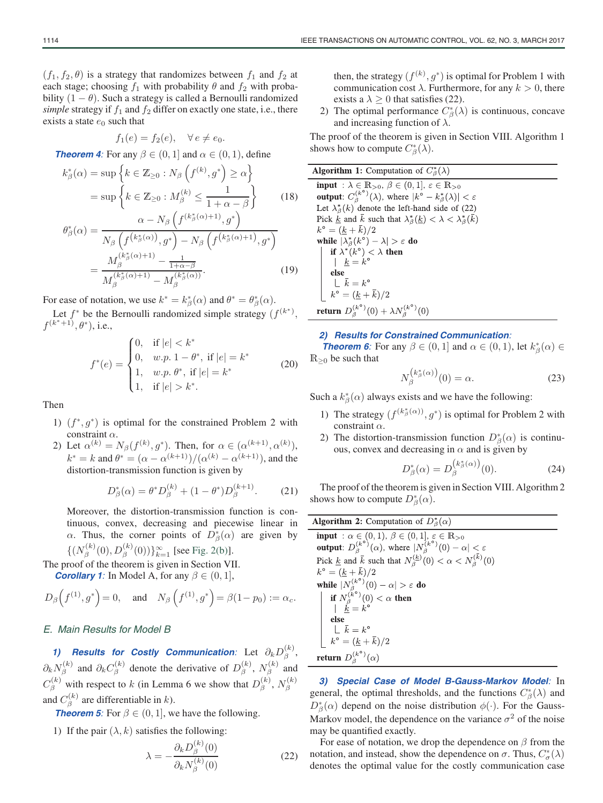$(f_1, f_2, \theta)$  is a strategy that randomizes between  $f_1$  and  $f_2$  at each stage; choosing  $f_1$  with probability  $\theta$  and  $f_2$  with probability  $(1 - \theta)$ . Such a strategy is called a Bernoulli randomized *simple* strategy if  $f_1$  and  $f_2$  differ on exactly one state, i.e., there exists a state  $e_0$  such that

$$
f_1(e) = f_2(e), \quad \forall e \neq e_0.
$$

**Theorem 4**: For any  $\beta \in (0, 1]$  and  $\alpha \in (0, 1)$ , define

$$
k_{\beta}^{*}(\alpha) = \sup \left\{ k \in \mathbb{Z}_{\geq 0} : N_{\beta} \left( f^{(k)}, g^{*} \right) \geq \alpha \right\}
$$

$$
= \sup \left\{ k \in \mathbb{Z}_{\geq 0} : M_{\beta}^{(k)} \leq \frac{1}{1 + \alpha - \beta} \right\} \qquad (18)
$$

$$
\alpha - N_{\beta} \left( f^{(k_{\beta}^{*}(\alpha) + 1)}, g^{*} \right)
$$

$$
\theta_{\beta}^{*}(\alpha) = \frac{\alpha - N_{\beta} \left( f^{(k_{\beta}^{*}(\alpha)+1)}, g^{*} \right)}{N_{\beta} \left( f^{(k_{\beta}^{*}(\alpha))}, g^{*} \right) - N_{\beta} \left( f^{(k_{\beta}^{*}(\alpha)+1)}, g^{*} \right)}
$$

$$
= \frac{M_{\beta}^{(k_{\beta}^{*}(\alpha)+1)} - \frac{1}{1+\alpha-\beta}}{M_{\beta}^{(k_{\beta}^{*}(\alpha)+1)} - M_{\beta}^{(k_{\beta}^{*}(\alpha))}}.
$$
(19)

For ease of notation, we use  $k^* = k^*_{\beta}(\alpha)$  and  $\theta^* = \theta^*_{\beta}(\alpha)$ .

Let  $f^*$  be the Bernoulli randomized simple strategy  $(f^{(k^*)},$  $f^{(k^*+1)}, \theta^*$ , i.e.,

$$
f^*(e) = \begin{cases} 0, & \text{if } |e| < k^* \\ 0, & w.p. 1 - \theta^*, \text{ if } |e| = k^* \\ 1, & w.p. \theta^*, \text{ if } |e| = k^* \\ 1, & \text{if } |e| > k^*. \end{cases}
$$
 (20)

Then

- 1)  $(f^*, g^*)$  is optimal for the constrained Problem 2 with constraint  $\alpha$ .
- 2) Let  $\alpha^{(k)} = N_{\beta}(f^{(k)}, g^*)$ . Then, for  $\alpha \in (\alpha^{(k+1)}, \alpha^{(k)}),$  $k^* = k$  and  $\theta^* = (\alpha - \alpha^{(k+1)})/(\alpha^{(k)} - \alpha^{(k+1)})$ , and the distortion-transmission function is given by

$$
D_{\beta}^{*}(\alpha) = \theta^{*} D_{\beta}^{(k)} + (1 - \theta^{*}) D_{\beta}^{(k+1)}.
$$
 (21)

Moreover, the distortion-transmission function is continuous, convex, decreasing and piecewise linear in  $\alpha$ . Thus, the corner points of  $D^*_{\beta}(\alpha)$  are given by  $\{ (N_\beta^{(k)} \}$  $B_{\beta}^{(k)}(0), D_{\beta}^{(k)}(0))\}_{k=1}^{\infty}$  [see Fig. 2(b)].

The proof of the theorem is given in Section VII.

**Corollary 1**: In Model A, for any  $\beta \in (0, 1]$ ,

$$
D_{\beta}(f^{(1)}, g^*) = 0
$$
, and  $N_{\beta}(f^{(1)}, g^*) = \beta(1 - p_0) := \alpha_c$ .

## E. Main Results for Model B

**1) Results for Costly Communication**: Let  $\partial_k D_{\beta}^{(k)}$  $\overset{(\kappa)}{\beta},$  $\partial_k N^{(k)}_\beta$  $\beta^{(k)}$  and  $\partial_k C_{\beta}^{(k)}$  $p_{\beta}^{(k)}$  denote the derivative of  $D_{\beta}^{(k)}$  $\binom{k}{\beta}, N_{\beta}^{(k)}$  $\beta^{(\kappa)}$  and  $C_{\beta}^{(k)}$  with respect to k (in Lemma 6 we show that  $D_{\beta}^{(k)}$  $\mathcal{S}^{(k)}_{\beta},\, N^{(k)}_{\beta}$ β and  $C^{(k)}_{\beta}$  $\beta^{(k)}$  are differentiable in k).

**Theorem 5**: For  $\beta \in (0, 1]$ , we have the following.

1) If the pair  $(\lambda, k)$  satisfies the following:

$$
\lambda = -\frac{\partial_k D_{\beta}^{(k)}(0)}{\partial_k N_{\beta}^{(k)}(0)}
$$
(22)

then, the strategy  $(f^{(k)}, g^*)$  is optimal for Problem 1 with communication cost  $\lambda$ . Furthermore, for any  $k > 0$ , there exists a  $\lambda \geq 0$  that satisfies (22).

2) The optimal performance  $C^*_{\beta}(\lambda)$  is continuous, concave and increasing function of  $\lambda$ .

The proof of the theorem is given in Section VIII. Algorithm 1 shows how to compute  $C^*_{\beta}(\lambda)$ .

#### **Algorithm 1:** Computation of  $C^*_{\beta}(\lambda)$

**input** :  $\lambda \in \mathbb{R}_{>0}, \beta \in (0,1], \varepsilon \in \mathbb{R}_{>0}$ **output:**  $C_{\beta}^{(k^{\circ})}(\lambda)$ , where  $|k^{\circ} - k_{\beta}^{*}(\lambda)| < \varepsilon$ Let  $\lambda^*_{\beta}(k)$  denote the left-hand side of (22) Pick k and k such that  $\lambda_{\beta}^*(k) < \lambda < \lambda_{\beta}^*(k)$  $k^{\circ} = \frac{k}{k} + \overline{k}$ )/2 while  $|\lambda^*_{\beta}(k^{\circ}) - \lambda| > \varepsilon$  do if  $\lambda^*(k^{\circ}) < \lambda$  then  $k = k^{\circ}$  $\begin{array}{}\n\text{else} \\
\downarrow \vec{k} = k^{\circ} \\
k^{\circ} = (\underline{k} + \overline{k})/2\n\end{array}$ **return**  $D_{\beta}^{(k^{\circ})}(0) + \lambda N_{\beta}^{(k^{\circ})}(0)$ 

## **2) Results for Constrained Communication**:

**Theorem 6**: For any  $\beta \in (0, 1]$  and  $\alpha \in (0, 1)$ , let  $k^*_{\beta}(\alpha) \in$  $\mathbb{R}_{\geq 0}$  be such that

$$
N_{\beta}^{(k_{\beta}^*(\alpha))}(0) = \alpha.
$$
 (23)

Such a  $k^*_{\beta}(\alpha)$  always exists and we have the following:

- 1) The strategy  $(f^{(k^*_{\beta}(\alpha))}, g^*)$  is optimal for Problem 2 with constraint  $\alpha$ .
- 2) The distortion-transmission function  $D^*_{\beta}(\alpha)$  is continuous, convex and decreasing in  $\alpha$  and is given by

$$
D_{\beta}^{*}(\alpha) = D_{\beta}^{(k_{\beta}^{*}(\alpha))}(0). \tag{24}
$$

The proof of the theorem is given in Section VIII. Algorithm 2 shows how to compute  $D^*_{\beta}(\alpha)$ .

| <b>Algorithm 2:</b> Computation of $D^*_{\beta}(\alpha)$                                                                                                                                                      |  |  |  |  |  |  |  |  |
|---------------------------------------------------------------------------------------------------------------------------------------------------------------------------------------------------------------|--|--|--|--|--|--|--|--|
| <b>input</b> : $\alpha \in (0, 1)$ , $\beta \in (0, 1]$ , $\varepsilon \in \mathbb{R}_{>0}$<br><b>output:</b> $D_{\beta}^{(k^{\circ})}(\alpha)$ , where $ N_{\beta}^{(k^{\circ})}(0) - \alpha  < \varepsilon$ |  |  |  |  |  |  |  |  |
|                                                                                                                                                                                                               |  |  |  |  |  |  |  |  |
| Pick $\underline{k}$ and $\overline{k}$ such that $N_A^{(k)}(0) < \alpha < N_A^{(\overline{k})}(0)$                                                                                                           |  |  |  |  |  |  |  |  |
| $k^{\circ} = (k + k)/2$                                                                                                                                                                                       |  |  |  |  |  |  |  |  |
| while $ N_A^{(k^{\circ})}(0) - \alpha  > \varepsilon$ do                                                                                                                                                      |  |  |  |  |  |  |  |  |
| if $N_{\beta}^{(k^{\circ})}(0) < \alpha$ then<br>$\begin{array}{c}   \\ k = k^{\circ} \end{array}$                                                                                                            |  |  |  |  |  |  |  |  |
|                                                                                                                                                                                                               |  |  |  |  |  |  |  |  |
| else                                                                                                                                                                                                          |  |  |  |  |  |  |  |  |
| $\begin{array}{cc} \n\end{array}$ $\begin{array}{cc} \n\end{array}$ $\overline{k} = k^{\circ}$                                                                                                                |  |  |  |  |  |  |  |  |
| $k^{\circ} = \frac{k}{(k+k)/2}$                                                                                                                                                                               |  |  |  |  |  |  |  |  |
| return $D_{\beta}^{(k^{\circ})}(\alpha)$                                                                                                                                                                      |  |  |  |  |  |  |  |  |

**3) Special Case of Model B-Gauss-Markov Model**: In general, the optimal thresholds, and the functions  $C^*_{\beta}(\lambda)$  and  $D^*_{\beta}(\alpha)$  depend on the noise distribution  $\phi(\cdot)$ . For the Gauss-Markov model, the dependence on the variance  $\sigma^2$  of the noise may be quantified exactly.

For ease of notation, we drop the dependence on  $\beta$  from the notation, and instead, show the dependence on  $\sigma$ . Thus,  $C^*_{\sigma}(\lambda)$ denotes the optimal value for the costly communication case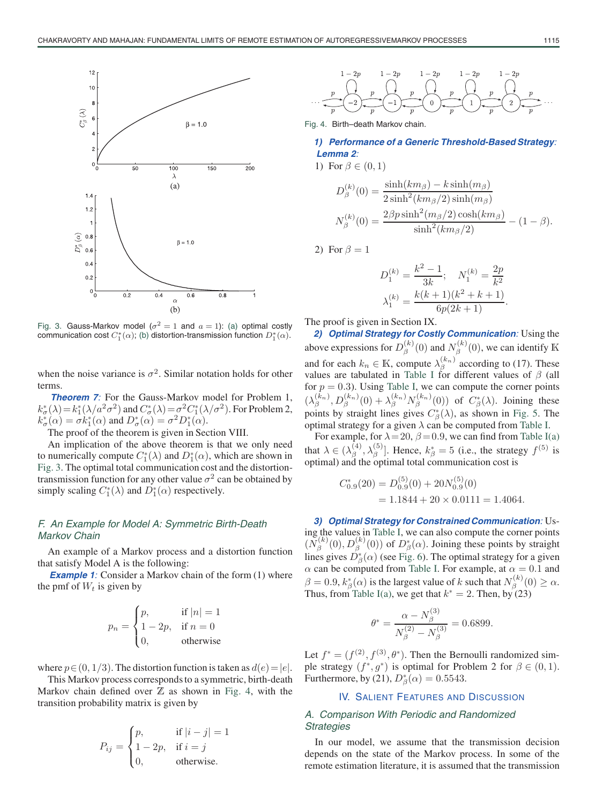

Fig. 3. Gauss-Markov model ( $\sigma^2 = 1$  and  $a = 1$ ): (a) optimal costly communication cost  $C_1^*(\alpha)$ ; (b) distortion-transmission function  $D_1^*(\alpha)$ .

when the noise variance is  $\sigma^2$ . Similar notation holds for other terms.

**Theorem 7**: For the Gauss-Markov model for Problem 1,  $k^*_{\sigma}(\lambda) = k^*_{1}(\lambda/a^2\sigma^2)$  and  $C^*_{\sigma}(\lambda) = \sigma^2 C^*_{1}(\lambda/\sigma^2)$ . For Problem 2,  $k^*_{\sigma}(\alpha) = \sigma k^*_{1}(\alpha)$  and  $D^*_{\sigma}(\alpha) = \sigma^2 D^*_{1}(\alpha)$ .

The proof of the theorem is given in Section VIII.

An implication of the above theorem is that we only need to numerically compute  $C_1^*(\lambda)$  and  $D_1^*(\alpha)$ , which are shown in Fig. 3. The optimal total communication cost and the distortiontransmission function for any other value  $\sigma^2$  can be obtained by simply scaling  $C_1^*(\lambda)$  and  $D_1^*(\alpha)$  respectively.

## F. An Example for Model A: Symmetric Birth-Death Markov Chain

An example of a Markov process and a distortion function that satisfy Model A is the following:

**Example 1**: Consider a Markov chain of the form (1) where the pmf of  $W_t$  is given by

$$
p_n = \begin{cases} p, & \text{if } |n| = 1 \\ 1 - 2p, & \text{if } n = 0 \\ 0, & \text{otherwise} \end{cases}
$$

where  $p \in (0, 1/3)$ . The distortion function is taken as  $d(e)=|e|$ .

This Markov process corresponds to a symmetric, birth-death Markov chain defined over  $Z$  as shown in Fig. 4, with the transition probability matrix is given by

$$
P_{ij} = \begin{cases} p, & \text{if } |i - j| = 1 \\ 1 - 2p, & \text{if } i = j \\ 0, & \text{otherwise.} \end{cases}
$$



Fig. 4. Birth–death Markov chain.

**1) Performance of a Generic Threshold-Based Strategy**: **Lemma 2**: 1) For  $\beta \in (0,1)$ 

$$
D_{\beta}^{(k)}(0) = \frac{\sinh(km_{\beta}) - k \sinh(m_{\beta})}{2 \sinh^{2}(km_{\beta}/2) \sinh(m_{\beta})}
$$

$$
N_{\beta}^{(k)}(0) = \frac{2\beta p \sinh^{2}(m_{\beta}/2) \cosh(km_{\beta})}{\sinh^{2}(km_{\beta}/2)} - (1 - \beta).
$$

2) For  $\beta = 1$ 

$$
D_1^{(k)} = \frac{k^2 - 1}{3k}; \quad N_1^{(k)} = \frac{2p}{k^2}
$$

$$
\lambda_1^{(k)} = \frac{k(k+1)(k^2 + k + 1)}{6p(2k+1)}.
$$

The proof is given in Section IX.

**2) Optimal Strategy for Costly Communication**: Using the above expressions for  $D_{\beta}^{(k)}$  $\binom{k}{\beta}(0)$  and  $N_{\beta}^{(k)}$  $\beta^{(k)}(0)$ , we can identify K and for each  $k_n \in \mathbb{K}$ , compute  $\lambda_{\beta}^{(k_n)}$  according to (17). These values are tabulated in Table I for different values of  $\beta$  (all for  $p = 0.3$ ). Using Table I, we can compute the corner points  $(\lambda_{\beta}^{(k_n)}, D_{\beta}^{(k_n)}(0) + \lambda_{\beta}^{(k_n)} N_{\beta}^{(k_n)}(0))$  of  $C_{\beta}^{*}(\lambda)$ . Joining these points by straight lines gives  $C^*_{\beta}(\lambda)$ , as shown in Fig. 5. The optimal strategy for a given  $\lambda$  can be computed from Table I.

For example, for  $\lambda = 20$ ,  $\beta = 0.9$ , we can find from Table I(a) that  $\lambda \in (\lambda_{\beta}^{(4)})$  $\binom{(4)}{6}, \lambda_{\beta}^{(5)}$ ]. Hence,  $k_{\beta}^* = 5$  (i.e., the strategy  $f^{(5)}$  is optimal) and the optimal total communication cost is

$$
C_{0.9}^{*}(20) = D_{0.9}^{(5)}(0) + 20N_{0.9}^{(5)}(0)
$$
  
= 1.1844 + 20 × 0.0111 = 1.4064.

**3) Optimal Strategy for Constrained Communication**: Using the values in Table I, we can also compute the corner points  $(N_6^{(k)}$  $L_{\beta}^{(k)}(0), D_{\beta}^{(k)}(0)$  of  $D_{\beta}^{*}(\alpha)$ . Joining these points by straight lines gives  $D^*_{\beta}(\alpha)$  (see Fig. 6). The optimal strategy for a given  $\alpha$  can be computed from Table I. For example, at  $\alpha = 0.1$  and  $\beta = 0.9, k^*_{\beta}(\alpha)$  is the largest value of  $k$  such that  $N_{\beta}^{(k)}$  $\beta^{(\kappa)}(0) \geq \alpha.$ Thus, from Table I(a), we get that  $k^* = 2$ . Then, by (23)

$$
\theta^* = \frac{\alpha - N_\beta^{(3)}}{N_\beta^{(2)} - N_\beta^{(3)}} = 0.6899.
$$

Let  $f^* = (f^{(2)}, f^{(3)}, \theta^*)$ . Then the Bernoulli randomized simple strategy  $(f^*, g^*)$  is optimal for Problem 2 for  $\beta \in (0, 1)$ . Furthermore, by (21),  $D^*_{\beta}(\alpha) = 0.5543$ .

## IV. SALIENT FEATURES AND DISCUSSION

## A. Comparison With Periodic and Randomized Strategies

In our model, we assume that the transmission decision depends on the state of the Markov process. In some of the remote estimation literature, it is assumed that the transmission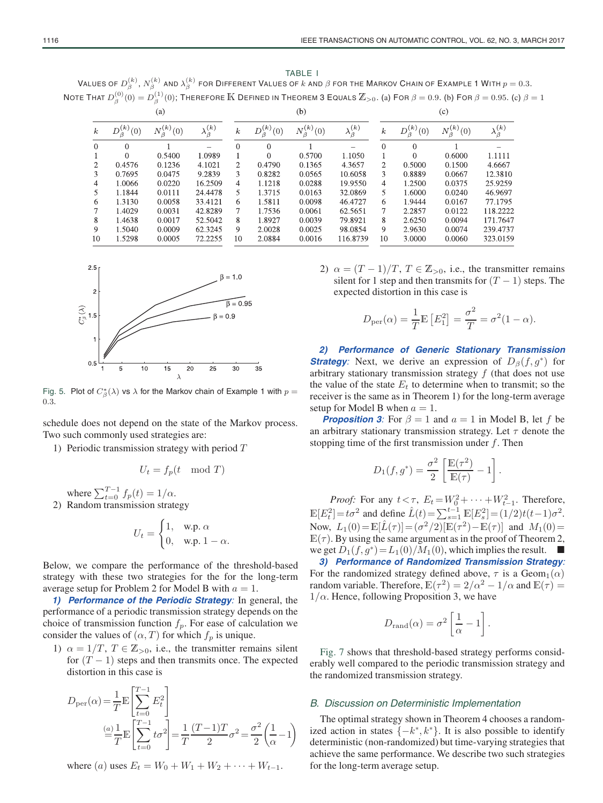TABLE I VALUES OF  $D^{(k)}_\beta$  ,  $N^{(k)}_\beta$  and  $\lambda^{(k)}_\beta$  for Different Values of  $k$  and  $\beta$  for the Markov Chain of Example 1 With  $p=0.3.$ NOTE ТНАТ  $D^{(0)}_\beta(0)=D^{(1)}_\beta(0);$  Therefore  $\Bbb K$  Defined in Theorem 3 Equals  $\Bbb Z_{>0}.$  (a) For  $\beta=0.9.$  (b) For  $\beta=0.95.$  (c)  $\beta=1$ 

| (a)              |                 |                          |                          | (D)              |                                             |                  |                         | (C)            |                                      |                      |                         |
|------------------|-----------------|--------------------------|--------------------------|------------------|---------------------------------------------|------------------|-------------------------|----------------|--------------------------------------|----------------------|-------------------------|
| $\boldsymbol{k}$ | $\kappa$<br>(0) | $N_{\beta}^{(k)}$<br>(0) | (k)<br>$\lambda_{\beta}$ | $\boldsymbol{k}$ | k)<br>(0)<br>$D_\beta^{ \backslash \kappa}$ | $N_{a}^{(k)}(0)$ | $\lambda_{\beta}^{(k)}$ | $_{k}$         | [k]<br>$D_{\beta}^{(\prime)}$<br>(0) | $N_{\beta}^{(k)}(0)$ | $\lambda_{\beta}^{(k)}$ |
| $\Omega$         | $\theta$        |                          |                          | $\Omega$         | $\Omega$                                    |                  |                         | $\Omega$       | $\Omega$                             |                      |                         |
|                  | $\Omega$        | 0.5400                   | 1.0989                   |                  | $\Omega$                                    | 0.5700           | 1.1050                  |                |                                      | 0.6000               | 1.1111                  |
| 2                | 0.4576          | 0.1236                   | 4.1021                   | 2                | 0.4790                                      | 0.1365           | 4.3657                  | $\mathfrak{D}$ | 0.5000                               | 0.1500               | 4.6667                  |
| 3                | 0.7695          | 0.0475                   | 9.2839                   | 3                | 0.8282                                      | 0.0565           | 10.6058                 | 3              | 0.8889                               | 0.0667               | 12.3810                 |
| 4                | .0066           | 0.0220                   | 16.2509                  | 4                | 1.1218                                      | 0.0288           | 19.9550                 | 4              | 1.2500                               | 0.0375               | 25.9259                 |
| 5                | 1.1844          | 0.0111                   | 24.4478                  | 5.               | 1.3715                                      | 0.0163           | 32.0869                 | 5.             | 1.6000                               | 0.0240               | 46.9697                 |
| 6                | 1.3130          | 0.0058                   | 33.4121                  | 6                | 1.5811                                      | 0.0098           | 46.4727                 | 6              | 1.9444                               | 0.0167               | 77.1795                 |
| 7                | 1.4029          | 0.0031                   | 42.8289                  | 7                | 1.7536                                      | 0.0061           | 62.5651                 | 7              | 2.2857                               | 0.0122               | 118.2222                |
| 8                | 1.4638          | 0.0017                   | 52.5042                  | 8                | 1.8927                                      | 0.0039           | 79.8921                 | 8              | 2.6250                               | 0.0094               | 171.7647                |
| 9                | 1.5040          | 0.0009                   | 62.3245                  | 9                | 2.0028                                      | 0.0025           | 98.0854                 | 9              | 2.9630                               | 0.0074               | 239.4737                |
| 10               | .5298           | 0.0005                   | 72.2255                  | 10               | 2.0884                                      | 0.0016           | 116.8739                | 10             | 3.0000                               | 0.0060               | 323.0159                |
|                  |                 |                          |                          |                  |                                             |                  |                         |                |                                      |                      |                         |



Fig. 5. Plot of  $C^*_{\beta}(\lambda)$  vs  $\lambda$  for the Markov chain of Example 1 with  $p =$ 0.3.

schedule does not depend on the state of the Markov process. Two such commonly used strategies are:

1) Periodic transmission strategy with period  $T$ 

$$
U_t = f_p(t \mod T)
$$

where  $\sum_{t=0}^{T-1} f_p(t) = 1/\alpha$ . 2) Random transmission strategy

$$
U_t = \begin{cases} 1, & \text{w.p. } \alpha \\ 0, & \text{w.p. } 1 - \alpha. \end{cases}
$$

Below, we compare the performance of the threshold-based strategy with these two strategies for the for the long-term average setup for Problem 2 for Model B with  $a = 1$ .

**1) Performance of the Periodic Strategy**: In general, the performance of a periodic transmission strategy depends on the choice of transmission function  $f_p$ . For ease of calculation we consider the values of  $(\alpha, T)$  for which  $f_p$  is unique.

1)  $\alpha = 1/T$ ,  $T \in \mathbb{Z}_{>0}$ , i.e., the transmitter remains silent for  $(T - 1)$  steps and then transmits once. The expected distortion in this case is

$$
D_{\text{per}}(\alpha) = \frac{1}{T} \mathbb{E} \left[ \sum_{t=0}^{T-1} E_t^2 \right]
$$

$$
\stackrel{(a)}{=} \frac{1}{T} \mathbb{E} \left[ \sum_{t=0}^{T-1} t \sigma^2 \right] = \frac{1}{T} \frac{(T-1)T}{2} \sigma^2 = \frac{\sigma^2}{2} \left( \frac{1}{\alpha} - 1 \right)
$$

where (a) uses  $E_t = W_0 + W_1 + W_2 + \cdots + W_{t-1}$ .

2)  $\alpha = (T-1)/T$ ,  $T \in \mathbb{Z}_{>0}$ , i.e., the transmitter remains silent for 1 step and then transmits for  $(T - 1)$  steps. The expected distortion in this case is

$$
D_{\text{per}}(\alpha) = \frac{1}{T} \mathbb{E} [E_1^2] = \frac{\sigma^2}{T} = \sigma^2 (1 - \alpha).
$$

**2) Performance of Generic Stationary Transmission Strategy**: Next, we derive an expression of  $D_\beta(f, g^*)$  for arbitrary stationary transmission strategy  $f$  (that does not use the value of the state  $E_t$  to determine when to transmit; so the receiver is the same as in Theorem 1) for the long-term average setup for Model B when  $a = 1$ .

**Proposition 3**: For  $\beta = 1$  and  $a = 1$  in Model B, let f be an arbitrary stationary transmission strategy. Let  $\tau$  denote the stopping time of the first transmission under  $f$ . Then

$$
D_1(f,g^*) = \frac{\sigma^2}{2} \left[ \frac{\mathbb{E}(\tau^2)}{\mathbb{E}(\tau)} - 1 \right].
$$

*Proof:* For any  $t < \tau$ ,  $E_t = W_0^2 + \cdots + W_{t-1}^2$ . Therefore,  $\mathbb{E}[E_t^2] = t\sigma^2$  and define  $\hat{L}(t) = \sum_{s=1}^{t-1} \mathbb{E}[E_s^2] = (1/2)t(t-1)\sigma^2$ . Now,  $L_1(0) = \mathbb{E}[\hat{L}(\tau)] = (\sigma^2/2)[\mathbb{E}(\tau^2) - \mathbb{E}(\tau)]$  and  $M_1(0) =$  $E(\tau)$ . By using the same argument as in the proof of Theorem 2, we get  $D_1(f, g^*) = L_1(0)/M_1(0)$ , which implies the result.  $\blacksquare$ 

**3) Performance of Randomized Transmission Strategy**: For the randomized strategy defined above,  $\tau$  is a Geom<sub>1</sub>( $\alpha$ ) random variable. Therefore,  $\mathbb{E}(\tau^2) = 2/\alpha^2 - 1/\alpha$  and  $\mathbb{E}(\tau) =$  $1/\alpha$ . Hence, following Proposition 3, we have

$$
D_{\text{rand}}(\alpha) = \sigma^2 \left[ \frac{1}{\alpha} - 1 \right].
$$

Fig. 7 shows that threshold-based strategy performs considerably well compared to the periodic transmission strategy and the randomized transmission strategy.

#### B. Discussion on Deterministic Implementation

The optimal strategy shown in Theorem 4 chooses a randomized action in states  $\{-k^*, k^*\}$ . It is also possible to identify deterministic (non-randomized) but time-varying strategies that achieve the same performance. We describe two such strategies for the long-term average setup.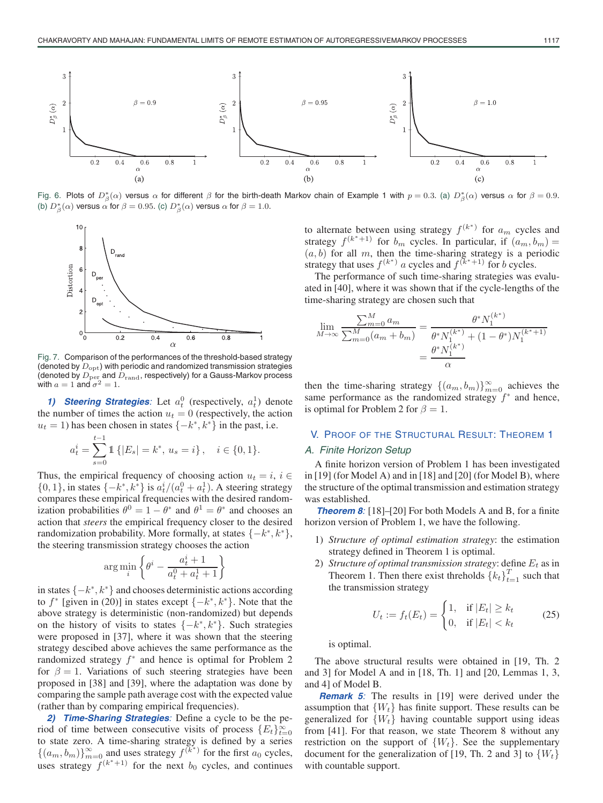

Fig. 6. Plots of  $D^*_\beta(\alpha)$  versus  $\alpha$  for different  $\beta$  for the birth-death Markov chain of Example 1 with  $p=0.3$ . (a)  $D^*_\beta(\alpha)$  versus  $\alpha$  for  $\beta=0.9$ . (b)  $D^*_\beta(\alpha)$  versus  $\alpha$  for  $\beta=0.95$ . (c)  $D^*_\beta(\alpha)$  versus  $\alpha$  for  $\beta=1.0$ .



Fig. 7. Comparison of the performances of the threshold-based strategy (denoted by  $D_{\text{opt}}$ ) with periodic and randomized transmission strategies (denoted by  $D_{\rm per}$  and  $D_{\rm rand}$ , respectively) for a Gauss-Markov process with  $a = 1$  and  $\sigma^2 = 1$ .

**1) Steering Strategies:** Let  $a_t^0$  (respectively,  $a_t^1$ ) denote the number of times the action  $u_t = 0$  (respectively, the action  $u_t = 1$ ) has been chosen in states  $\{-k^*, k^*\}$  in the past, i.e.

$$
a_t^i = \sum_{s=0}^{t-1} 1 \{ |E_s| = k^*, \, u_s = i \}, \quad i \in \{0, 1\}.
$$

Thus, the empirical frequency of choosing action  $u_t = i$ ,  $i \in$  $\{0, 1\}$ , in states  $\{-k^*, k^*\}$  is  $a_t^i/(a_t^0 + a_t^1)$ . A steering strategy compares these empirical frequencies with the desired randomization probabilities  $\theta^0 = 1 - \theta^*$  and  $\theta^1 = \theta^*$  and chooses an action that *steers* the empirical frequency closer to the desired randomization probability. More formally, at states  $\{-k^*, k^*\},$ the steering transmission strategy chooses the action

$$
\arg\min_i \left\{ \theta^i - \frac{a_t^i + 1}{a_t^0 + a_t^1 + 1} \right\}
$$

in states  $\{-k^*, k^*\}$  and chooses deterministic actions according to  $f^*$  [given in (20)] in states except  $\{-k^*, k^*\}$ . Note that the above strategy is deterministic (non-randomized) but depends on the history of visits to states  $\{-k^*, k^*\}$ . Such strategies were proposed in [37], where it was shown that the steering strategy descibed above achieves the same performance as the randomized strategy  $f^*$  and hence is optimal for Problem 2 for  $\beta = 1$ . Variations of such steering strategies have been proposed in [38] and [39], where the adaptation was done by comparing the sample path average cost with the expected value (rather than by comparing empirical frequencies).

**2) Time-Sharing Strategies**: Define a cycle to be the period of time between consecutive visits of process  ${E_t}_{t=0}^{\infty}$ to state zero. A time-sharing strategy is defined by a series  $\{(a_m, b_m)\}_{m=0}^{\infty}$  and uses strategy  $f^{(k^*)}$  for the first  $a_0$  cycles, uses strategy  $f^{(k^*+1)}$  for the next  $b_0$  cycles, and continues to alternate between using strategy  $f^{(k^*)}$  for  $a_m$  cycles and strategy  $f^{(k^*+1)}$  for  $b_m$  cycles. In particular, if  $(a_m, b_m)$  =  $(a, b)$  for all m, then the time-sharing strategy is a periodic strategy that uses  $f^{(k^*)}$  a cycles and  $f^{(k^*+1)}$  for b cycles.

The performance of such time-sharing strategies was evaluated in [40], where it was shown that if the cycle-lengths of the time-sharing strategy are chosen such that

$$
\lim_{M \to \infty} \frac{\sum_{m=0}^{M} a_m}{\sum_{m=0}^{M} (a_m + b_m)} = \frac{\theta^* N_1^{(k^*)}}{\theta^* N_1^{(k^*)} + (1 - \theta^*) N_1^{(k^{*}+1)}}
$$

$$
= \frac{\theta^* N_1^{(k^*)}}{\alpha}
$$

then the time-sharing strategy  $\{(a_m, b_m)\}_{m=0}^{\infty}$  achieves the same performance as the randomized strategy  $f^*$  and hence, is optimal for Problem 2 for  $\beta = 1$ .

## V. PROOF OF THE STRUCTURAL RESULT: THEOREM 1

## A. Finite Horizon Setup

A finite horizon version of Problem 1 has been investigated in [19] (for Model A) and in [18] and [20] (for Model B), where the structure of the optimal transmission and estimation strategy was established.

**Theorem 8**: [18]–[20] For both Models A and B, for a finite horizon version of Problem 1, we have the following.

- 1) *Structure of optimal estimation strategy*: the estimation strategy defined in Theorem 1 is optimal.
- 2) *Structure of optimal transmission strategy*: define  $E_t$  as in Theorem 1. Then there exist threholds  ${k_t}_{t=1}^T$  such that the transmission strategy

$$
U_t := f_t(E_t) = \begin{cases} 1, & \text{if } |E_t| \ge k_t \\ 0, & \text{if } |E_t| < k_t \end{cases}
$$
 (25)

is optimal.

The above structural results were obtained in [19, Th. 2 and 3] for Model A and in [18, Th. 1] and [20, Lemmas 1, 3, and 4] of Model B.

**Remark 5**: The results in [19] were derived under the assumption that  ${W_t}$  has finite support. These results can be generalized for  ${W_t}$  having countable support using ideas from [41]. For that reason, we state Theorem 8 without any restriction on the support of  $\{W_t\}$ . See the supplementary document for the generalization of [19, Th. 2 and 3] to  $\{W_t\}$ with countable support.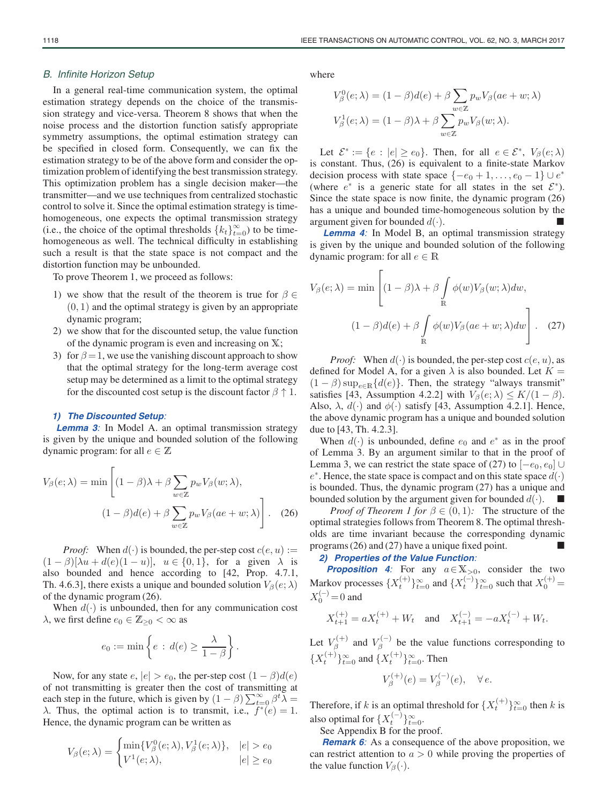In a general real-time communication system, the optimal estimation strategy depends on the choice of the transmission strategy and vice-versa. Theorem 8 shows that when the noise process and the distortion function satisfy appropriate symmetry assumptions, the optimal estimation strategy can be specified in closed form. Consequently, we can fix the estimation strategy to be of the above form and consider the optimization problem of identifying the best transmission strategy. This optimization problem has a single decision maker—the transmitter—and we use techniques from centralized stochastic control to solve it. Since the optimal estimation strategy is timehomogeneous, one expects the optimal transmission strategy (i.e., the choice of the optimal thresholds  $\{k_t\}_{t=0}^{\infty}$ ) to be timehomogeneous as well. The technical difficulty in establishing such a result is that the state space is not compact and the distortion function may be unbounded.

To prove Theorem 1, we proceed as follows:

- 1) we show that the result of the theorem is true for  $\beta \in$  $(0, 1)$  and the optimal strategy is given by an appropriate dynamic program;
- 2) we show that for the discounted setup, the value function of the dynamic program is even and increasing on X;
- 3) for  $\beta = 1$ , we use the vanishing discount approach to show that the optimal strategy for the long-term average cost setup may be determined as a limit to the optimal strategy for the discounted cost setup is the discount factor  $\beta \uparrow 1$ .

#### **1) The Discounted Setup**:

**Lemma 3**: In Model A. an optimal transmission strategy is given by the unique and bounded solution of the following dynamic program: for all  $e \in \mathbb{Z}$ 

$$
V_{\beta}(e; \lambda) = \min \left[ (1 - \beta)\lambda + \beta \sum_{w \in \mathbb{Z}} p_w V_{\beta}(w; \lambda), \right]
$$

$$
(1 - \beta)d(e) + \beta \sum_{w \in \mathbb{Z}} p_w V_{\beta}(ae + w; \lambda) \right].
$$
 (26)

*Proof:* When  $d(\cdot)$  is bounded, the per-step cost  $c(e, u) :=$  $(1 - \beta)[\lambda u + d(e)(1 - u)], u \in \{0, 1\},$  for a given  $\lambda$  is also bounded and hence according to [42, Prop. 4.7.1, Th. 4.6.3], there exists a unique and bounded solution  $V_\beta(e; \lambda)$ of the dynamic program (26).

When  $d(\cdot)$  is unbounded, then for any communication cost  $\lambda$ , we first define  $e_0 \in \mathbb{Z}_{\geq 0} < \infty$  as

$$
e_0 := \min \left\{ e \, : \, d(e) \geq \frac{\lambda}{1-\beta} \right\}.
$$

Now, for any state  $e, |e| > e_0$ , the per-step cost  $(1 - \beta)d(e)$ of not transmitting is greater then the cost of transmitting at each step in the future, which is given by  $(1 - \beta) \sum_{t=0}^{\infty} \beta^t \lambda =$ λ. Thus, the optimal action is to transmit, i.e.,  $f^*(e) = 1$ . Hence, the dynamic program can be written as

$$
V_{\beta}(e;\lambda) = \begin{cases} \min\{V_{\beta}^{0}(e;\lambda), V_{\beta}^{1}(e;\lambda)\}, & |e| > e_{0} \\ V^{1}(e;\lambda), & |e| \ge e_{0} \end{cases}
$$

where

$$
V_{\beta}^{0}(e; \lambda) = (1 - \beta)d(e) + \beta \sum_{w \in \mathbb{Z}} p_{w}V_{\beta}(ae + w; \lambda)
$$
  

$$
V_{\beta}^{1}(e; \lambda) = (1 - \beta)\lambda + \beta \sum_{w \in \mathbb{Z}} p_{w}V_{\beta}(w; \lambda).
$$

Let  $\mathcal{E}^* := \{e : |e| \ge e_0\}$ . Then, for all  $e \in \mathcal{E}^*$ ,  $V_\beta(e; \lambda)$ is constant. Thus, (26) is equivalent to a finite-state Markov decision process with state space  $\{-e_0 + 1, \ldots, e_0 - 1\} \cup e^*$ (where  $e^*$  is a generic state for all states in the set  $\mathcal{E}^*$ ). Since the state space is now finite, the dynamic program (26) has a unique and bounded time-homogeneous solution by the argument given for bounded  $d(\cdot)$ .

**Lemma 4**: In Model B, an optimal transmission strategy is given by the unique and bounded solution of the following dynamic program: for all  $e \in \mathbb{R}$ 

$$
V_{\beta}(e; \lambda) = \min \left[ (1 - \beta)\lambda + \beta \int_{\mathbb{R}} \phi(w) V_{\beta}(w; \lambda) dw, \right]
$$

$$
(1 - \beta)d(e) + \beta \int_{\mathbb{R}} \phi(w) V_{\beta}(ae + w; \lambda) dw \right].
$$
 (27)

*Proof:* When  $d(\cdot)$  is bounded, the per-step cost  $c(e, u)$ , as defined for Model A, for a given  $\lambda$  is also bounded. Let  $K =$  $(1 - \beta)$  sup<sub>e∈R</sub>{d(e)}. Then, the strategy "always transmit" satisfies [43, Assumption 4.2.2] with  $V_\beta(e; \lambda) \leq K/(1 - \beta)$ . Also,  $\lambda$ ,  $d(\cdot)$  and  $\phi(\cdot)$  satisfy [43, Assumption 4.2.1]. Hence, the above dynamic program has a unique and bounded solution due to [43, Th. 4.2.3].

When  $d(\cdot)$  is unbounded, define  $e_0$  and  $e^*$  as in the proof of Lemma 3. By an argument similar to that in the proof of Lemma 3, we can restrict the state space of (27) to  $[-e_0, e_0]$  ∪  $e^*$ . Hence, the state space is compact and on this state space  $d(\cdot)$ is bounded. Thus, the dynamic program (27) has a unique and bounded solution by the argument given for bounded  $d(\cdot)$ .

*Proof of Theorem 1 for*  $\beta \in (0,1)$ : The structure of the optimal strategies follows from Theorem 8. The optimal thresholds are time invariant because the corresponding dynamic programs  $(26)$  and  $(27)$  have a unique fixed point.

## **2) Properties of the Value Function**:

**Proposition 4:** For any  $a \in \mathbb{X}_{\geq 0}$ , consider the two Markov processes  $\{X_t^{(+)}\}_{t=0}^\infty$  and  $\{X_t^{(-)}\}_{t=0}^\infty$  such that  $X_0^{(+)}$  =  $X_0^{(-)} = 0$  and

$$
X_{t+1}^{(+)} = aX_t^{(+)} + W_t
$$
 and  $X_{t+1}^{(-)} = -aX_t^{(-)} + W_t$ .

Let  $V^{(+)}_{\beta}$  $V_{\beta}^{(+)}$  and  $V_{\beta}^{(-)}$  be the value functions corresponding to  $\{X_t^{(+)}\}_{t=0}^{\infty}$  and  $\{X_t^{(+)}\}_{t=0}^{\infty}$ . Then

$$
V_{\beta}^{(+)}(e) = V_{\beta}^{(-)}(e), \quad \forall e.
$$

Therefore, if k is an optimal threshold for  $\{X_t^{(+)}\}_{t=0}^{\infty}$  then k is also optimal for  $\{X_t^{(-)}\}_{t=0}^{\infty}$ .

See Appendix B for the proof.

**Remark 6**: As a consequence of the above proposition, we can restrict attention to  $a > 0$  while proving the properties of the value function  $V_\beta(\cdot)$ .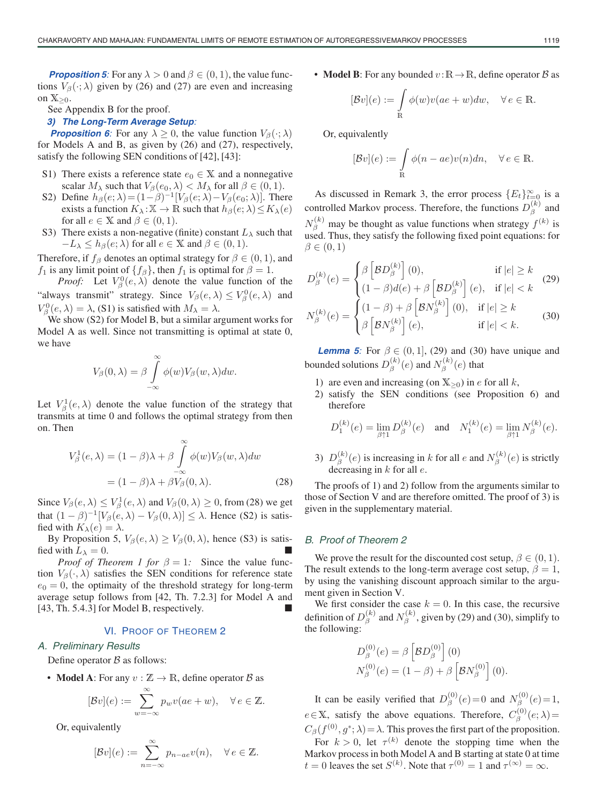**Proposition 5**: For any  $\lambda > 0$  and  $\beta \in (0, 1)$ , the value functions  $V_\beta(\cdot; \lambda)$  given by (26) and (27) are even and increasing on  $X_{\geq 0}$ .

See Appendix B for the proof.

## **3) The Long-Term Average Setup**:

**Proposition 6**: For any  $\lambda \geq 0$ , the value function  $V_\beta(\cdot; \lambda)$ for Models A and B, as given by (26) and (27), respectively, satisfy the following SEN conditions of [42], [43]:

- S1) There exists a reference state  $e_0 \in X$  and a nonnegative scalar  $M_{\lambda}$  such that  $V_{\beta}(e_0, \lambda) < M_{\lambda}$  for all  $\beta \in (0, 1)$ .
- S2) Define  $h_\beta(e; \lambda) = (1-\beta)^{-1} [V_\beta(e; \lambda) V_\beta(e_0; \lambda)].$  There exists a function  $K_\lambda : \mathbb{X} \to \mathbb{R}$  such that  $h_\beta(e; \lambda) \leq K_\lambda(e)$ for all  $e \in \mathbb{X}$  and  $\beta \in (0, 1)$ .
- S3) There exists a non-negative (finite) constant  $L_{\lambda}$  such that  $-L_{\lambda} \leq h_{\beta}(e; \lambda)$  for all  $e \in \mathbb{X}$  and  $\beta \in (0, 1)$ .

Therefore, if  $f_\beta$  denotes an optimal strategy for  $\beta \in (0, 1)$ , and  $f_1$  is any limit point of  $\{f_\beta\}$ , then  $f_1$  is optimal for  $\beta = 1$ .

*Proof:* Let  $V^0_{\beta}(e, \lambda)$  denote the value function of the "always transmit" strategy. Since  $V_\beta(e, \lambda) \leq V_\beta^0(e, \lambda)$  and  $V_{\beta}^{0}(e, \lambda) = \lambda$ , (S1) is satisfied with  $M_{\lambda} = \lambda$ .

We show (S2) for Model B, but a similar argument works for Model A as well. Since not transmitting is optimal at state 0, we have

$$
V_{\beta}(0,\lambda)=\beta\int\limits_{-\infty}^{\infty}\phi(w)V_{\beta}(w,\lambda)dw.
$$

Let  $V^1_\beta(e, \lambda)$  denote the value function of the strategy that transmits at time 0 and follows the optimal strategy from then on. Then

$$
V_{\beta}^{1}(e,\lambda) = (1 - \beta)\lambda + \beta \int_{-\infty}^{\infty} \phi(w)V_{\beta}(w,\lambda)dw
$$
  
=  $(1 - \beta)\lambda + \beta V_{\beta}(0,\lambda).$  (28)

Since  $V_\beta(e, \lambda) \le V_\beta^1(e, \lambda)$  and  $V_\beta(0, \lambda) \ge 0$ , from (28) we get that  $(1 - \beta)^{-1}[V_{\beta}(e, \lambda) - V_{\beta}(0, \lambda)] \leq \lambda$ . Hence (S2) is satisfied with  $K_{\lambda}(e) = \lambda$ .

By Proposition 5,  $V_\beta(e, \lambda) \geq V_\beta(0, \lambda)$ , hence (S3) is satisfied with  $L_{\lambda} = 0$ .

*Proof of Theorem 1 for*  $\beta = 1$ : Since the value function  $V_\beta(\cdot, \lambda)$  satisfies the SEN conditions for reference state  $e_0 = 0$ , the optimaity of the threshold strategy for long-term average setup follows from [42, Th. 7.2.3] for Model A and  $[43, Th. 5.4.3]$  for Model B, respectively.

## VI. PROOF OF THEOREM 2

## A. Preliminary Results

Define operator  $\beta$  as follows:

• **Model A**: For any  $v : \mathbb{Z} \to \mathbb{R}$ , define operator  $\mathcal{B}$  as

$$
[\mathcal{B}v](e) := \sum_{w=-\infty}^{\infty} p_w v(ae+w), \quad \forall e \in \mathbb{Z}.
$$

Or, equivalently

$$
[\mathcal{B}v](e) := \sum_{n=-\infty}^{\infty} p_{n-ae}v(n), \quad \forall e \in \mathbb{Z}.
$$

• **Model B**: For any bounded  $v : \mathbb{R} \to \mathbb{R}$ , define operator B as

$$
[\mathcal{B}v](e) := \int_{\mathbb{R}} \phi(w)v(ae+w)dw, \quad \forall e \in \mathbb{R}.
$$

Or, equivalently

$$
[\mathcal{B}v](e) := \int_{\mathbb{R}} \phi(n - ae)v(n)dn, \quad \forall e \in \mathbb{R}.
$$

As discussed in Remark 3, the error process  ${E_t}_{t=0}^{\infty}$  is a controlled Markov process. Therefore, the functions  $D_{\beta}^{(k)}$  $\int_{\beta}^{(\kappa)}$  and  $N_{\beta}^{(k)}$  may be thought as value functions when strategy  $f^{(k)}$  is used. Thus, they satisfy the following fixed point equations: for  $\beta \in (0,1)$ 

$$
D_{\beta}^{(k)}(e) = \begin{cases} \beta \left[ \mathcal{B}D_{\beta}^{(k)} \right](0), & \text{if } |e| \ge k \\ (1 - \beta)d(e) + \beta \left[ \mathcal{B}D_{\beta}^{(k)} \right](e), & \text{if } |e| < k \end{cases}
$$
(29)  

$$
N_{\beta}^{(k)}(e) = \begin{cases} (1 - \beta) + \beta \left[ \mathcal{B}N_{\beta}^{(k)} \right](0), & \text{if } |e| \ge k \\ \beta \left[ \mathcal{B}N_{\beta}^{(k)} \right](e), & \text{if } |e| < k. \end{cases}
$$
(30)

**Lemma 5**: For  $\beta \in (0, 1]$ , (29) and (30) have unique and bounded solutions  $D_{\beta}^{(k)}$  $\binom{k}{\beta}(e)$  and  $N_{\beta}^{(k)}$  $\beta^{(\kappa)}(e)$  that

- 1) are even and increasing (on  $X_{\geq 0}$ ) in e for all k,
- 2) satisfy the SEN conditions (see Proposition 6) and therefore

$$
D_1^{(k)}(e) = \lim_{\beta \uparrow 1} D_\beta^{(k)}(e) \quad \text{and} \quad N_1^{(k)}(e) = \lim_{\beta \uparrow 1} N_\beta^{(k)}(e).
$$

3)  $D_8^{(k)}$  $\mathcal{B}_{\beta}^{(k)}(e)$  is increasing in k for all e and  $N_{\beta}^{(k)}$  $\beta^{(\kappa)}(e)$  is strictly decreasing in  $k$  for all  $e$ .

The proofs of 1) and 2) follow from the arguments similar to those of Section V and are therefore omitted. The proof of 3) is given in the supplementary material.

#### B. Proof of Theorem 2

We prove the result for the discounted cost setup,  $\beta \in (0, 1)$ . The result extends to the long-term average cost setup,  $\beta = 1$ , by using the vanishing discount approach similar to the argument given in Section V.

We first consider the case  $k = 0$ . In this case, the recursive definition of  $D_{\beta}^{(k)}$  $\mathcal{L}_{\beta}^{(k)}$  and  $N_{\beta}^{(k)}$  $\beta_{\beta}^{(k)}$ , given by (29) and (30), simplify to the following:

$$
D_{\beta}^{(0)}(e) = \beta \left[ \mathcal{B} D_{\beta}^{(0)} \right] (0)
$$
  
\n
$$
N_{\beta}^{(0)}(e) = (1 - \beta) + \beta \left[ \mathcal{B} N_{\beta}^{(0)} \right] (0).
$$

It can be easily verified that  $D_8^{(0)}$  $j^{(0)}_{\beta}(e)$  = 0 and  $N^{(0)}_{\beta}$  $\beta^{(0)}(e)=1,$  $e \in X$ , satisfy the above equations. Therefore,  $C_{\beta}^{(0)}$  $\beta^{\rm (U)}(e;\lambda)=$  $C_{\beta}(f^{(0)}, g^*; \lambda) = \lambda$ . This proves the first part of the proposition. For  $k > 0$ , let  $\tau^{(k)}$  denote the stopping time when the Markov process in both Model A and B starting at state 0 at time  $t = 0$  leaves the set  $S^{(k)}$ . Note that  $\tau^{(0)} = 1$  and  $\tau^{(\infty)} = \infty$ .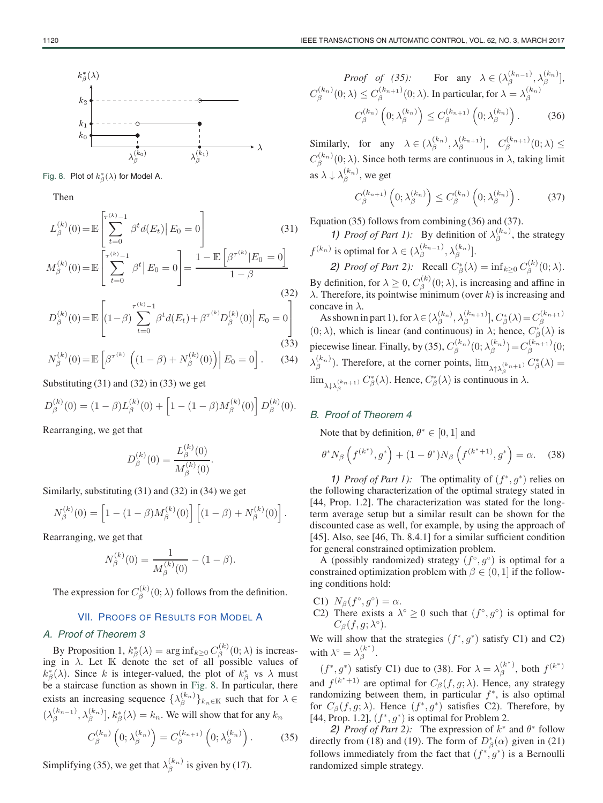

Fig. 8. Plot of  $k^*_{\beta}(\lambda)$  for Model A.

Then

$$
L_{\beta}^{(k)}(0) = \mathbb{E}\left[\sum_{t=0}^{\tau^{(k)}-1} \beta^{t} d(E_{t})\right] E_{0} = 0\right]
$$
(31)  

$$
M_{\beta}^{(k)}(0) = \mathbb{E}\left[\sum_{t=0}^{\tau^{(k)}-1} \beta^{t} | E_{0} = 0\right] = \frac{1 - \mathbb{E}\left[\beta^{\tau^{(k)}} | E_{0} = 0\right]}{1 - \beta}
$$
(32)

$$
D_{\beta}^{(k)}(0) = \mathbb{E}\left[ (1-\beta) \sum_{t=0}^{\tau^{(k)}-1} \beta^{t} d(E_{t}) + \beta^{\tau^{(k)}} D_{\beta}^{(k)}(0) \Big| E_{0} = 0 \right]
$$
\n(33)

$$
N_{\beta}^{(k)}(0) = \mathbb{E}\left[\beta^{\tau^{(k)}}\left((1-\beta) + N_{\beta}^{(k)}(0)\right) \middle| E_0 = 0\right].
$$
 (34)

Substituting (31) and (32) in (33) we get

$$
D_{\beta}^{(k)}(0) = (1 - \beta)L_{\beta}^{(k)}(0) + \left[1 - (1 - \beta)M_{\beta}^{(k)}(0)\right]D_{\beta}^{(k)}(0).
$$

Rearranging, we get that

$$
D_{\beta}^{(k)}(0) = \frac{L_{\beta}^{(k)}(0)}{M_{\beta}^{(k)}(0)}.
$$

Similarly, substituting (31) and (32) in (34) we get

$$
N_{\beta}^{(k)}(0) = \left[1 - (1 - \beta)M_{\beta}^{(k)}(0)\right] \left[(1 - \beta) + N_{\beta}^{(k)}(0)\right].
$$

Rearranging, we get that

$$
N_{\beta}^{(k)}(0) = \frac{1}{M_{\beta}^{(k)}(0)} - (1 - \beta).
$$

The expression for  $C^{(k)}_{\beta}$  $\beta^{(\kappa)}(0; \lambda)$  follows from the definition.

## VII. PROOFS OF RESULTS FOR MODEL A

## A. Proof of Theorem 3

By Proposition 1,  $k^*_{\beta}(\lambda) = \arg\inf_{k \geq 0} C^{(k)}_{\beta}$  $\beta^{(\kappa)}(0;\lambda)$  is increasing in  $\lambda$ . Let K denote the set of all possible values of  $k^*_{\beta}(\lambda)$ . Since k is integer-valued, the plot of  $k^*_{\beta}$  vs  $\lambda$  must be a staircase function as shown in Fig. 8. In particular, there exists an increasing sequence  $\{\lambda_{\beta}^{(k_n)}\}_{k_n\in\mathbb{K}}$  such that for  $\lambda \in$  $(\lambda_{\beta}^{(k_{n-1})}, \lambda_{\beta}^{(k_n)}], k_{\beta}^*(\lambda) = k_n$ . We will show that for any  $k_n$ 

$$
C_{\beta}^{(k_n)}\left(0;\lambda_{\beta}^{(k_n)}\right) = C_{\beta}^{(k_{n+1})}\left(0;\lambda_{\beta}^{(k_n)}\right). \tag{35}
$$

Simplifying (35), we get that  $\lambda_{\beta}^{(k_n)}$  is given by (17).

*Proof of (35)*: For any  $\lambda \in (\lambda_{\beta}^{(k_{n-1})}, \lambda_{\beta}^{(k_n)}],$  $C^{(k_n)}_{\beta}(0;\lambda) \leq C^{(k_{n+1})}_{\beta}(0;\lambda)$ . In particular, for  $\lambda = \lambda_{\beta}^{(k_n)}$  $C_{\beta}^{(k_n)}\left(0;\lambda_{\beta}^{(k_n)}\right)\leq C_{\beta}^{(k_{n+1})}\left(0;\lambda_{\beta}^{(k_n)}\right)$ . (36)

Similarly, for any  $\lambda \in (\lambda_{\beta}^{(k_n)}, \lambda_{\beta}^{(k_{n+1})}], C_{\beta}^{(k_{n+1})}(0; \lambda) \leq$  $C_{\beta}^{(k_n)}(0; \lambda)$ . Since both terms are continuous in  $\lambda$ , taking limit as  $\lambda \downarrow \lambda_{\beta}^{(k_n)}$ , we get

$$
C_{\beta}^{(k_{n+1})}\left(0;\lambda_{\beta}^{(k_{n})}\right) \leq C_{\beta}^{(k_{n})}\left(0;\lambda_{\beta}^{(k_{n})}\right). \tag{37}
$$

Equation (35) follows from combining (36) and (37).

1) *Proof of Part 1*): By definition of  $\lambda_{\beta}^{(k_n)}$ , the strategy  $f^{(k_n)}$  is optimal for  $\lambda \in (\lambda_{\beta}^{(k_{n-1})}, \lambda_{\beta}^{(k_n)}].$ 

2) *Proof of Part 2*): Recall  $C_{\beta}^{*}(\lambda) = \inf_{k \geq 0} C_{\beta}^{(k)}$  $\beta^{(\kappa)}(0;\lambda).$ By definition, for  $\lambda \geq 0$ ,  $C_{\beta}^{(k)}$  $\beta^{(\kappa)}(0;\lambda)$ , is increasing and affine in

 $\lambda$ . Therefore, its pointwise minimum (over k) is increasing and concave in  $\lambda$ .

As shown in part 1), for  $\lambda \in (\lambda_{\beta}^{(k_n)}, \lambda_{\beta}^{(k_{n+1})}], C_{\beta}^*(\lambda) = C_{\beta}^{(k_{n+1})}$  $(0; \lambda)$ , which is linear (and continuous) in  $\lambda$ ; hence,  $C^*_{\beta}(\lambda)$  is piecewise linear. Finally, by (35),  $C_{\beta}^{(k_n)}(0; \lambda_{\beta}^{(k_n)}) = C_{\beta}^{(k_{n+1})}(0;$  $(\lambda_{\beta}^{(k_n)})$ . Therefore, at the corner points,  $\lim_{\lambda \uparrow \lambda_{\beta}^{(k_{n+1})}} C_{\beta}^*(\lambda) =$  $\lim_{\lambda \downarrow \lambda_{\beta}^{(k_{n+1})}} C_{\beta}^{*}(\lambda)$ . Hence,  $C_{\beta}^{*}(\lambda)$  is continuous in  $\lambda$ .

### B. Proof of Theorem 4

Note that by definition,  $\theta^* \in [0, 1]$  and

$$
\theta^* N_\beta \left( f^{(k^*)}, g^* \right) + (1 - \theta^*) N_\beta \left( f^{(k^*+1)}, g^* \right) = \alpha. \quad (38)
$$

1) *Proof of Part 1*): The optimality of  $(f^*, g^*)$  relies on the following characterization of the optimal strategy stated in [44, Prop. 1.2]. The characterization was stated for the longterm average setup but a similar result can be shown for the discounted case as well, for example, by using the approach of [45]. Also, see [46, Th. 8.4.1] for a similar sufficient condition for general constrained optimization problem.

A (possibly randomized) strategy  $(f^{\circ}, g^{\circ})$  is optimal for a constrained optimization problem with  $\beta \in (0, 1]$  if the following conditions hold:

- C1)  $N_{\beta}(f^{\circ}, g^{\circ}) = \alpha.$
- C2) There exists a  $\lambda^{\circ} \ge 0$  such that  $(f^{\circ}, g^{\circ})$  is optimal for  $C_{\beta}(f,g;\lambda^{\circ}).$

We will show that the strategies  $(f^*, g^*)$  satisfy C1) and C2) with  $\lambda^{\circ} = \lambda_{\beta}^{(k^*)}$  $\overset{(\kappa\,\cdot\,)}{\beta}$ .

 $(f^*, g^*)$  satisfy C1) due to (38). For  $\lambda = \lambda_{\beta}^{(k^*)}$  $\binom{k^*}{\beta}$ , both  $f^{(k^*)}$ and  $f^{(k^*+1)}$  are optimal for  $C_\beta(f,g;\lambda)$ . Hence, any strategy randomizing between them, in particular  $f^*$ , is also optimal for  $C_{\beta}(f, g; \lambda)$ . Hence  $(f^*, g^*)$  satisfies C2). Therefore, by [44, Prop. 1.2],  $(f^*, g^*)$  is optimal for Problem 2.

2) *Proof of Part 2*): The expression of  $k^*$  and  $\theta^*$  follow directly from (18) and (19). The form of  $D^*_{\beta}(\alpha)$  given in (21) follows immediately from the fact that  $(f^*, g^*)$  is a Bernoulli randomized simple strategy.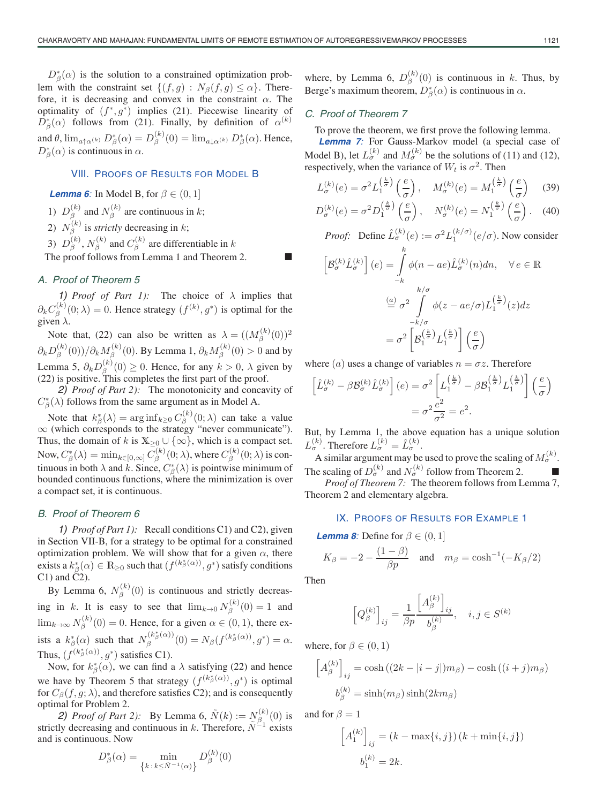$D^*_{\beta}(\alpha)$  is the solution to a constrained optimization problem with the constraint set  $\{(f,g): N_\beta(f,g) \leq \alpha\}$ . Therefore, it is decreasing and convex in the constraint  $\alpha$ . The optimality of  $(f^*, g^*)$  implies (21). Piecewise linearity of  $D^*_{\beta}(\alpha)$  follows from (21). Finally, by definition of  $\alpha^{(k)}$ and  $\theta$ ,  $\lim_{a \uparrow \alpha^{(k)}} D^*_{\beta}(\alpha) = D^{(k)}_{\beta}$  $\int_{\beta}^{(\kappa)}(0) = \lim_{a \downarrow \alpha^{(\kappa)}} D_{\beta}^{*}(\alpha)$ . Hence,  $D^*_{\beta}(\alpha)$  is continuous in  $\alpha$ .

## VIII. PROOFS OF RESULTS FOR MODEL B

**Lemma 6**: In Model B, for  $\beta \in (0, 1]$ 

1)  $D_8^{(k)}$  $\mathcal{L}_{\beta}^{(k)}$  and  $N_{\beta}^{(k)}$  $\beta^{(k)}$  are continuous in k;

2)  $N_{\beta}^{(k)}$  $\beta^{(k)}$  is *strictly* decreasing in k;

3)  $D_8^{(k)}$  $_{\beta}^{(k)}, N_{\beta}^{(k)}$  $\epsilon_{\beta}^{(k)}$  and  $C_{\beta}^{(k)}$  $\beta^{(\kappa)}$  are differentiable in k

The proof follows from Lemma 1 and Theorem 2.

#### A. Proof of Theorem 5

1) *Proof of Part 1*): The choice of  $\lambda$  implies that  $\partial_k C_\beta^{(k)}$  $g_{\beta}^{(k)}(0; \lambda) = 0$ . Hence strategy  $(f^{(k)}, g^*)$  is optimal for the given  $\lambda$ .

Note that, (22) can also be written as  $\lambda = ((M_\beta^{(k)})^T)$  $\beta^{(k)}(0)$ <sup>2</sup>  $\partial_k D_{\beta}^{(k)}$  $\beta^{(k)}(\mathbb{0}))/\partial_k M_\beta^{(k)}$  $\beta_\beta^{(k)}(0)$ . By Lemma 1,  $\partial_k M_\beta^{(k)}$  $\beta^{(\kappa)}(0) > 0$  and by Lemma 5,  $\partial_k D_{\beta}^{(k)}$  $\beta_{\beta}^{(k)}(0) \ge 0$ . Hence, for any  $k > 0$ ,  $\lambda$  given by (22) is positive. This completes the first part of the proof.

2) *Proof of Part 2):* The monotonicity and concavity of  $C^*_{\beta}(\lambda)$  follows from the same argument as in Model A.

Note that  $k^*_{\beta}(\lambda) = \arg\inf_{k \geq 0} C_{\beta}^{(k)}$  $\beta^{(\kappa)}(0;\lambda)$  can take a value  $\infty$  (which corresponds to the strategy "never communicate"). Thus, the domain of k is  $\mathbb{X}_{\geq 0} \cup \{\infty\}$ , which is a compact set. Now,  $C^*_{\beta}(\lambda) = \min_{k \in [0,\infty]} C^{(k)}_{\beta}$  $C^{(k)}_{\beta}(0;\lambda),$  where  $C^{(k)}_{\beta}$  $\beta^{(\kappa)}(0;\lambda)$  is continuous in both  $\lambda$  and  $k$ . Since,  $C^*_{\beta}(\lambda)$  is pointwise minimum of bounded continuous functions, where the minimization is over a compact set, it is continuous.

## B. Proof of Theorem 6

1) *Proof of Part 1):* Recall conditions C1) and C2), given in Section VII-B, for a strategy to be optimal for a constrained optimization problem. We will show that for a given  $\alpha$ , there exists a  $k_{\beta}^{*}(\alpha) \in \mathbb{R}_{\geq 0}$  such that  $(f^{(k_{\beta}^{*}(\alpha))}, g^{*})$  satisfy conditions C1) and C2).

By Lemma 6,  $N_{\beta}^{(k)}$  $\beta^{(k)}(0)$  is continuous and strictly decreasing in k. It is easy to see that  $\lim_{k\to 0} N_\beta^{(k)}$  $\beta^{(k)}(0) = 1$  and  $\lim_{k\to\infty} N_{\beta}^{(k)}$  $\beta_{\beta}^{(\kappa)}(0) = 0$ . Hence, for a given  $\alpha \in (0, 1)$ , there exists a  $k^*_{\beta}(\alpha)$  such that  $N_{\beta}^{(k^*_{\beta}(\alpha))}$  $S_{\beta}^{(k_{\beta}^{*}(\alpha))}(0) = N_{\beta}(f^{(k_{\beta}^{*}(\alpha))},g^{*}) = \alpha.$ Thus,  $(f^{(k^*_{\beta}(\alpha))}, g^*)$  satisfies C1).

Now, for  $k^*_{\beta}(\alpha)$ , we can find a  $\lambda$  satisfying (22) and hence we have by Theorem 5 that strategy  $(f^{(k^*_{\beta}(\alpha))}, g^*)$  is optimal for  $C_\beta(f, q; \lambda)$ , and therefore satisfies C2); and is consequently optimal for Problem 2.

2) *Proof of Part 2*): By Lemma 6,  $\tilde{N}(k) := N_{\beta}^{(k)}(0)$  is strictly decreasing and continuous in k. Therefore,  $\tilde{N}^{-1}$  exists and is continuous. Now

$$
D_{\beta}^{*}(\alpha) = \min_{\{k \,:\, k \le \tilde{N}^{-1}(\alpha)\}} D_{\beta}^{(k)}(0)
$$

where, by Lemma 6,  $D_8^{(k)}$  $\beta^{(k)}(0)$  is continuous in k. Thus, by Berge's maximum theorem,  $D^*_{\beta}(\alpha)$  is continuous in  $\alpha$ .

## C. Proof of Theorem 7

To prove the theorem, we first prove the following lemma.

**Lemma 7**: For Gauss-Markov model (a special case of Model B), let  $L_{\sigma}^{(k)}$  and  $M_{\sigma}^{(k)}$  be the solutions of (11) and (12), respectively, when the variance of  $W_t$  is  $\sigma^2$ . Then

$$
L_{\sigma}^{(k)}(e) = \sigma^2 L_1^{\left(\frac{k}{\sigma}\right)}\left(\frac{e}{\sigma}\right), \quad M_{\sigma}^{(k)}(e) = M_1^{\left(\frac{k}{\sigma}\right)}\left(\frac{e}{\sigma}\right) \quad (39)
$$

$$
D_{\sigma}^{(k)}(e) = \sigma^2 D_1^{\left(\frac{k}{\sigma}\right)}\left(\frac{e}{\sigma}\right), \quad N_{\sigma}^{(k)}(e) = N_1^{\left(\frac{k}{\sigma}\right)}\left(\frac{e}{\sigma}\right). \quad (40)
$$

*Proof:* Define  $\hat{L}_{\sigma}^{(k)}(e) := \sigma^2 L_1^{(k/\sigma)}(e/\sigma)$ . Now consider

$$
\begin{aligned}\n\left[\mathcal{B}_{\sigma}^{(k)}\hat{L}_{\sigma}^{(k)}\right](e) &= \int_{-k}^{k} \phi(n - ae)\hat{L}_{\sigma}^{(k)}(n)dn, \quad \forall e \in \mathbb{R} \\
&\stackrel{(a)}{=} \sigma^2 \int_{-k/\sigma}^{k/\sigma} \phi(z - ae/\sigma)L_1^{\left(\frac{k}{\sigma}\right)}(z)dz \\
&= \sigma^2 \left[\mathcal{B}_1^{\left(\frac{k}{\sigma}\right)}L_1^{\left(\frac{k}{\sigma}\right)}\right]\left(\frac{e}{\sigma}\right)\n\end{aligned}
$$

where (a) uses a change of variables  $n = \sigma z$ . Therefore

$$
\left[\hat{L}_{\sigma}^{(k)} - \beta \mathcal{B}_{\sigma}^{(k)} \hat{L}_{\sigma}^{(k)}\right](e) = \sigma^2 \left[L_1^{\left(\frac{k}{\sigma}\right)} - \beta \mathcal{B}_1^{\left(\frac{k}{\sigma}\right)} L_1^{\left(\frac{k}{\sigma}\right)}\right] \left(\frac{e}{\sigma}\right)
$$

$$
= \sigma^2 \frac{e^2}{\sigma^2} = e^2.
$$

But, by Lemma 1, the above equation has a unique solution  $L_{\sigma}^{(k)}$ . Therefore  $L_{\sigma}^{(k)} = \hat{L}_{\sigma}^{(k)}$ .

A similar argument may be used to prove the scaling of  $M_{\sigma}^{(k)}$ . The scaling of  $D_{\sigma}^{(k)}$  and  $N_{\sigma}^{(k)}$  follow from Theorem 2.

*Proof of Theorem 7:* The theorem follows from Lemma 7, Theorem 2 and elementary algebra.

### IX. PROOFS OF RESULTS FOR EXAMPLE 1

**Lemma 8**: Define for  $\beta \in (0, 1]$ 

$$
K_{\beta} = -2 - \frac{(1 - \beta)}{\beta p} \quad \text{and} \quad m_{\beta} = \cosh^{-1}(-K_{\beta}/2)
$$

Then

$$
\left[Q_{\beta}^{(k)}\right]_{ij} = \frac{1}{\beta p} \frac{\left[A_{\beta}^{(k)}\right]_{ij}}{b_{\beta}^{(k)}}, \quad i, j \in S^{(k)}
$$

where, for  $\beta \in (0,1)$ 

$$
\[A_{\beta}^{(k)}\]_{ij} = \cosh((2k - |i - j|)m_{\beta}) - \cosh((i + j)m_{\beta})
$$

$$
b_{\beta}^{(k)} = \sinh(m_{\beta})\sinh(2km_{\beta})
$$

and for  $\beta = 1$ 

$$
\left[A_1^{(k)}\right]_{ij} = (k - \max\{i, j\}) (k + \min\{i, j\})
$$
  

$$
b_1^{(k)} = 2k.
$$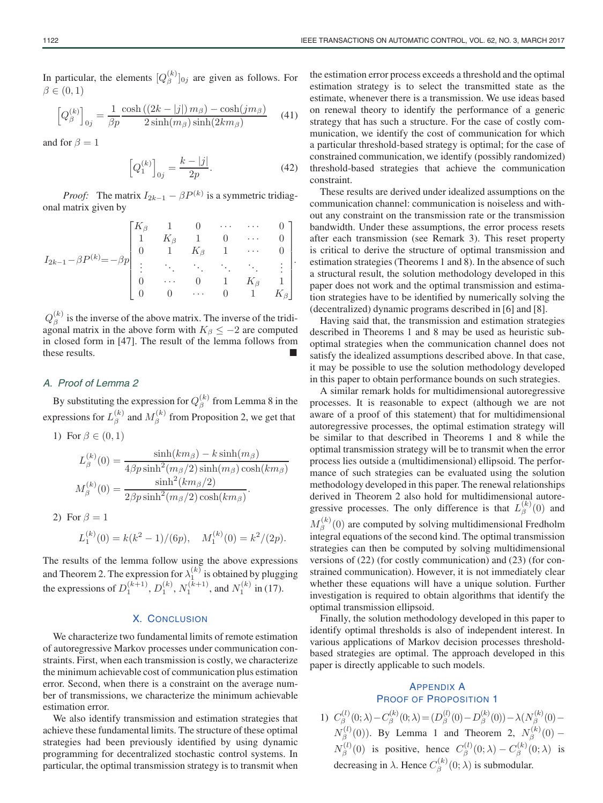$$
\[Q_{\beta}^{(k)}\]_{0j} = \frac{1}{\beta p} \frac{\cosh\left(\left(2k - |j|\right)m_{\beta}\right) - \cosh(jm_{\beta})}{2\sinh(m_{\beta})\sinh(2km_{\beta})} \quad (41)
$$

and for  $\beta = 1$ 

$$
\left[Q_1^{(k)}\right]_{0j} = \frac{k - |j|}{2p}.\tag{42}
$$

*Proof:* The matrix  $I_{2k-1} - \beta P^{(k)}$  is a symmetric tridiagonal matrix given by

$$
I_{2k-1} - \beta P^{(k)} = -\beta p \begin{bmatrix} K_{\beta} & 1 & 0 & \cdots & \cdots & 0 \\ 1 & K_{\beta} & 1 & 0 & \cdots & 0 \\ 0 & 1 & K_{\beta} & 1 & \cdots & 0 \\ \vdots & \ddots & \ddots & \ddots & \ddots & \vdots \\ 0 & \cdots & 0 & 1 & K_{\beta} & 1 \\ 0 & 0 & \cdots & 0 & 1 & K_{\beta} \end{bmatrix}.
$$

 $Q_{\beta}^{(k)}$  $\beta^{(k)}$  is the inverse of the above matrix. The inverse of the tridiagonal matrix in the above form with  $K_\beta \leq -2$  are computed in closed form in [47]. The result of the lemma follows from these results.

## A. Proof of Lemma 2

By substituting the expression for  $Q_{\beta}^{(k)}$  $\beta^{(k)}$  from Lemma 8 in the expressions for  $L_{\beta}^{(k)}$  $\mathcal{A}_{\beta}^{(k)}$  and  $M_{\beta}^{(k)}$  $\beta_{\beta}^{(k)}$  from Proposition 2, we get that

1) For  $\beta \in (0,1)$ 

$$
L_{\beta}^{(k)}(0) = \frac{\sinh(km_{\beta}) - k \sinh(m_{\beta})}{4\beta p \sinh^{2}(m_{\beta}/2) \sinh(m_{\beta}) \cosh(km_{\beta})}
$$

$$
M_{\beta}^{(k)}(0) = \frac{\sinh^{2}(km_{\beta}/2)}{2\beta p \sinh^{2}(m_{\beta}/2) \cosh(km_{\beta})}.
$$

2) For 
$$
\beta = 1
$$
  
\n $L_1^{(k)}(0) = k(k^2 - 1)/(6p), \quad M_1^{(k)}(0) = k^2/(2p).$ 

The results of the lemma follow using the above expressions and Theorem 2. The expression for  $\lambda_1^{(k)}$  is obtained by plugging the expressions of  $D_1^{(k+1)}$ ,  $D_1^{(k)}$ ,  $N_1^{(k+1)}$ , and  $N_1^{(k)}$  in (17).

## X. CONCLUSION

We characterize two fundamental limits of remote estimation of autoregressive Markov processes under communication constraints. First, when each transmission is costly, we characterize the minimum achievable cost of communication plus estimation error. Second, when there is a constraint on the average number of transmissions, we characterize the minimum achievable estimation error.

We also identify transmission and estimation strategies that achieve these fundamental limits. The structure of these optimal strategies had been previously identified by using dynamic programming for decentralized stochastic control systems. In particular, the optimal transmission strategy is to transmit when the estimation error process exceeds a threshold and the optimal estimation strategy is to select the transmitted state as the estimate, whenever there is a transmission. We use ideas based on renewal theory to identify the performance of a generic strategy that has such a structure. For the case of costly communication, we identify the cost of communication for which a particular threshold-based strategy is optimal; for the case of constrained communication, we identify (possibly randomized) threshold-based strategies that achieve the communication constraint.

These results are derived under idealized assumptions on the communication channel: communication is noiseless and without any constraint on the transmission rate or the transmission bandwidth. Under these assumptions, the error process resets after each transmission (see Remark 3). This reset property is critical to derive the structure of optimal transmission and estimation strategies (Theorems 1 and 8). In the absence of such a structural result, the solution methodology developed in this paper does not work and the optimal transmission and estimation strategies have to be identified by numerically solving the (decentralized) dynamic programs described in [6] and [8].

Having said that, the transmission and estimation strategies described in Theorems 1 and 8 may be used as heuristic suboptimal strategies when the communication channel does not satisfy the idealized assumptions described above. In that case, it may be possible to use the solution methodology developed in this paper to obtain performance bounds on such strategies.

A similar remark holds for multidimensional autoregressive processes. It is reasonable to expect (although we are not aware of a proof of this statement) that for multidimensional autoregressive processes, the optimal estimation strategy will be similar to that described in Theorems 1 and 8 while the optimal transmission strategy will be to transmit when the error process lies outside a (multidimensional) ellipsoid. The performance of such strategies can be evaluated using the solution methodology developed in this paper. The renewal relationships derived in Theorem 2 also hold for multidimensional autoregressive processes. The only difference is that  $L_8^{(k)}$  $\int_{\beta}^{(\kappa)}(0)$  and

 $M_{\beta}^{(k)}$  $\beta^{(k)}(0)$  are computed by solving multidimensional Fredholm integral equations of the second kind. The optimal transmission strategies can then be computed by solving multidimensional versions of (22) (for costly communication) and (23) (for constrained communication). However, it is not immediately clear whether these equations will have a unique solution. Further investigation is required to obtain algorithms that identify the optimal transmission ellipsoid.

Finally, the solution methodology developed in this paper to identify optimal thresholds is also of independent interest. In various applications of Markov decision processes thresholdbased strategies are optimal. The approach developed in this paper is directly applicable to such models.

## **APPENDIX A** PROOF OF PROPOSITION 1

1)  $C_{\beta}^{(l)}$  $C^{(l)}_{\beta}(0;\lambda)-C^{(k)}_{\beta}$  $b^{(k)}_{\beta}(0;\lambda) = (D^{(l)}_{\beta})$  $\binom{(l)}{\beta}(0) - D_{\beta}^{(k)}$  $\lambda^{(k)}_{\beta}(0))-\lambda(N^{(k)}_{\beta})$  $\beta^{(\kappa)}(0)$  —  $N_\beta^{(l)}$  $S^{(l)}_{\beta}(0)$ ). By Lemma 1 and Theorem 2,  $N^{(k)}_{\beta}$  $\beta^{(\kappa)}(0)$  –  $N_\beta^{(l)}$  $C_{\beta}^{(l)}(0)$  is positive, hence  $C_{\beta}^{(l)}$  $C^{(l)}_{\beta}(0;\lambda)-C^{(k)}_{\beta}$  $\beta^{(\kappa)}(0;\lambda)$  is decreasing in  $\lambda$ . Hence  $C^{(k)}_{\beta}$  $\beta^{(\kappa)}(0;\lambda)$  is submodular.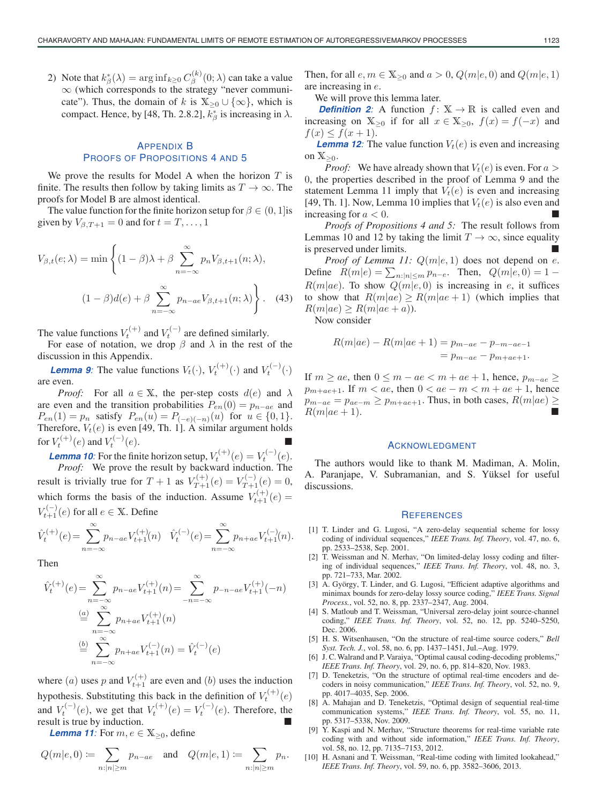2) Note that  $k^*_{\beta}(\lambda) = \arg\inf_{k \geq 0} C_{\beta}^{(k)}$  $\beta^{(\kappa)}(0;\lambda)$  can take a value ∞ (which corresponds to the strategy "never communicate"). Thus, the domain of k is  $X_{\geq 0} \cup \{\infty\}$ , which is compact. Hence, by [48, Th. 2.8.2],  $k^*_{\beta}$  is increasing in  $\lambda$ .

## APPENDIX B PROOFS OF PROPOSITIONS 4 AND 5

We prove the results for Model A when the horizon  $T$  is finite. The results then follow by taking limits as  $T \to \infty$ . The proofs for Model B are almost identical.

The value function for the finite horizon setup for  $\beta \in (0,1]$  is given by  $V_{\beta,T+1} = 0$  and for  $t = T, \ldots, 1$ 

$$
V_{\beta,t}(e;\lambda) = \min\left\{ (1-\beta)\lambda + \beta \sum_{n=-\infty}^{\infty} p_n V_{\beta,t+1}(n;\lambda), (1-\beta)d(e) + \beta \sum_{n=-\infty}^{\infty} p_{n-ae} V_{\beta,t+1}(n;\lambda) \right\}.
$$
 (43)

The value functions  $V_t^{(+)}$  and  $V_t^{(-)}$  are defined similarly.

For ease of notation, we drop  $\beta$  and  $\lambda$  in the rest of the discussion in this Appendix.

**Lemma 9**: The value functions  $V_t(\cdot)$ ,  $V_t^{(+)}(\cdot)$  and  $V_t^{(-)}(\cdot)$ are even.

*Proof:* For all  $a \in X$ , the per-step costs  $d(e)$  and  $\lambda$ are even and the transition probabilities  $P_{en}(0) = p_{n-ae}$  and  $P_{en}(1) = p_n$  satisfy  $P_{en}(u) = P_{(-e)(-n)}(u)$  for  $u \in \{0, 1\}.$ Therefore,  $V_t(e)$  is even [49, Th. 1]. A similar argument holds for  $V_t^{(+)}(e)$  and  $V_t^{(-)}$  $(e).$ 

**Lemma 10**: For the finite horizon setup,  $V_t^{(+)}(e) = V_t^{(-)}(e)$ . *Proof:* We prove the result by backward induction. The

result is trivially true for  $T + 1$  as  $V_{T+1}^{(+)}(e) = V_{T+1}^{(-)}(e) = 0$ , which forms the basis of the induction. Assume  $V_{t+1}^{(+)}(e) =$  $V_{t+1}^{(-)}(e)$  for all  $e \in \mathbb{X}$ . Define

$$
\hat{V}_t^{(+)}(e) = \sum_{n=-\infty}^{\infty} p_{n-ae} V_{t+1}^{(+)}(n) \quad \hat{V}_t^{(-)}(e) = \sum_{n=-\infty}^{\infty} p_{n+ae} V_{t+1}^{(-)}(n).
$$

Then

$$
\hat{V}_t^{(+)}(e) = \sum_{n = -\infty}^{\infty} p_{n - ae} V_{t+1}^{(+)}(n) = \sum_{-n = -\infty}^{\infty} p_{-n - ae} V_{t+1}^{(+)}(-n)
$$

$$
\stackrel{(a)}{=} \sum_{n = -\infty}^{\infty} p_{n + ae} V_{t+1}^{(+)}(n)
$$

$$
\stackrel{(b)}{=} \sum_{n = -\infty}^{\infty} p_{n + ae} V_{t+1}^{(-)}(n) = \hat{V}_t^{(-)}(e)
$$

where  $(a)$  uses p and  $V_{t+1}^{(+)}$  are even and  $(b)$  uses the induction hypothesis. Substituting this back in the definition of  $V_t^{(+)}(e)$ and  $V_t^{(-)}(e)$ , we get that  $V_t^{(+)}(e) = V_t^{(-)}(e)$ . Therefore, the result is true by induction.

**Lemma 11**: For  $m, e \in \mathbb{X}_{\geq 0}$ , define

$$
Q(m|e,0) \coloneqq \sum_{n:|n| \ge m} p_{n-ae} \quad \text{and} \quad Q(m|e,1) \coloneqq \sum_{n:|n| \ge m} p_n.
$$

Then, for all  $e, m \in \mathbb{X}_{\geq 0}$  and  $a > 0$ ,  $Q(m|e, 0)$  and  $Q(m|e, 1)$ are increasing in e.

We will prove this lemma later.

**Definition 2**: A function  $f: \mathbb{X} \to \mathbb{R}$  is called even and increasing on  $\mathbb{X}_{\geq 0}$  if for all  $x \in \mathbb{X}_{\geq 0}$ ,  $f(x) = f(-x)$  and  $f(x) \le f(x+1)$ .

**Lemma 12:** The value function  $V_t(e)$  is even and increasing on  $X_{\geq 0}$ .

*Proof:* We have already shown that  $V_t(e)$  is even. For  $a >$ 0, the properties described in the proof of Lemma 9 and the statement Lemma 11 imply that  $V_t(e)$  is even and increasing [49, Th. 1]. Now, Lemma 10 implies that  $V_t(e)$  is also even and increasing for  $a < 0$ .

*Proofs of Propositions 4 and 5:* The result follows from Lemmas 10 and 12 by taking the limit  $T \to \infty$ , since equality is preserved under limits.

*Proof of Lemma 11:*  $Q(m|e, 1)$  does not depend on e. Define  $R(m|e) = \sum_{n:|n| \le m} p_{n-e}$ . Then,  $Q(m|e, 0) = 1 R(m|ae)$ . To show  $Q(m|e, 0)$  is increasing in e, it suffices to show that  $R(m|ae) \ge R(m|ae+1)$  (which implies that  $R(m|ae) \ge R(m|ae + a)$ ).

Now consider

$$
R(m|ae) - R(m|ae + 1) = p_{m-ae} - p_{-m-ae-1}
$$
  
=  $p_{m-ae} - p_{m+ae+1}$ .

If  $m \ge ae$ , then  $0 \le m - ae < m + ae + 1$ , hence,  $p_{m-ae} \ge$  $p_{m+ae+1}$ . If  $m < ae$ , then  $0 < ae-m < m+ae+1$ , hence  $p_{m-ae} = p_{ae-m} \geq p_{m+ae+1}$ . Thus, in both cases,  $R(m|ae) \geq$  $R(m|ae + 1)$ .

#### ACKNOWLEDGMENT

The authors would like to thank M. Madiman, A. Molin, A. Paranjape, V. Subramanian, and S. Yüksel for useful discussions.

#### **REFERENCES**

- [1] T. Linder and G. Lugosi, "A zero-delay sequential scheme for lossy coding of individual sequences," *IEEE Trans. Inf. Theory*, vol. 47, no. 6, pp. 2533–2538, Sep. 2001.
- [2] T. Weissman and N. Merhav, "On limited-delay lossy coding and filtering of individual sequences," *IEEE Trans. Inf. Theory*, vol. 48, no. 3, pp. 721–733, Mar. 2002.
- [3] A. György, T. Linder, and G. Lugosi, "Efficient adaptive algorithms and minimax bounds for zero-delay lossy source coding," *IEEE Trans. Signal Process.*, vol. 52, no. 8, pp. 2337–2347, Aug. 2004.
- [4] S. Matloub and T. Weissman, "Universal zero-delay joint source-channel coding," *IEEE Trans. Inf. Theory*, vol. 52, no. 12, pp. 5240–5250, Dec. 2006.
- [5] H. S. Witsenhausen, "On the structure of real-time source coders," *Bell Syst. Tech. J.*, vol. 58, no. 6, pp. 1437–1451, Jul.–Aug. 1979.
- [6] J. C. Walrand and P. Varaiya, "Optimal causal coding-decoding problems," *IEEE Trans. Inf. Theory*, vol. 29, no. 6, pp. 814–820, Nov. 1983.
- [7] D. Teneketzis, "On the structure of optimal real-time encoders and decoders in noisy communication," *IEEE Trans. Inf. Theory*, vol. 52, no. 9, pp. 4017–4035, Sep. 2006.
- [8] A. Mahajan and D. Teneketzis, "Optimal design of sequential real-time communication systems," *IEEE Trans. Inf. Theory*, vol. 55, no. 11, pp. 5317–5338, Nov. 2009.
- [9] Y. Kaspi and N. Merhav, "Structure theorems for real-time variable rate coding with and without side information," *IEEE Trans. Inf. Theory*, vol. 58, no. 12, pp. 7135–7153, 2012.
- [10] H. Asnani and T. Weissman, "Real-time coding with limited lookahead," *IEEE Trans. Inf. Theory*, vol. 59, no. 6, pp. 3582–3606, 2013.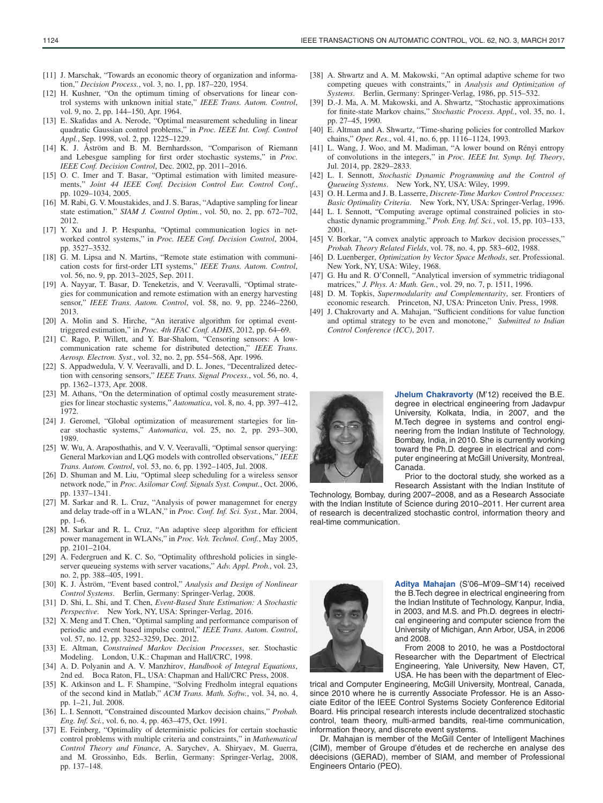- [12] H. Kushner, "On the optimum timing of observations for linear control systems with unknown initial state," *IEEE Trans. Autom. Control*, vol. 9, no. 2, pp. 144–150, Apr. 1964.
- [13] E. Skafidas and A. Nerode, "Optimal measurement scheduling in linear quadratic Gaussian control problems," in *Proc. IEEE Int. Conf. Control Appl.*, Sep. 1998, vol. 2, pp. 1225–1229.
- [14] K. J. Åström and B. M. Bernhardsson, "Comparison of Riemann and Lebesgue sampling for first order stochastic systems," in *Proc. IEEE Conf. Decision Control*, Dec. 2002, pp. 2011–2016.
- [15] O. C. Imer and T. Basar, "Optimal estimation with limited measurements," *Joint 44 IEEE Conf. Decision Control Eur. Control Conf.*, pp. 1029–1034, 2005.
- [16] M. Rabi, G. V. Moustakides, and J. S. Baras, "Adaptive sampling for linear state estimation," *SIAM J. Control Optim.*, vol. 50, no. 2, pp. 672–702, 2012.
- [17] Y. Xu and J. P. Hespanha, "Optimal communication logics in networked control systems," in *Proc. IEEE Conf. Decision Control*, 2004, pp. 3527–3532.
- [18] G. M. Lipsa and N. Martins, "Remote state estimation with communication costs for first-order LTI systems," *IEEE Trans. Autom. Control*, vol. 56, no. 9, pp. 2013–2025, Sep. 2011.
- [19] A. Nayyar, T. Basar, D. Teneketzis, and V. Veeravalli, "Optimal strategies for communication and remote estimation with an energy harvesting sensor," *IEEE Trans. Autom. Control*, vol. 58, no. 9, pp. 2246–2260, 2013.
- [20] A. Molin and S. Hirche, "An iterative algorithm for optimal eventtriggered estimation," in *Proc. 4th IFAC Conf. ADHS*, 2012, pp. 64–69.
- [21] C. Rago, P. Willett, and Y. Bar-Shalom, "Censoring sensors: A lowcommunication rate scheme for distributed detection," *IEEE Trans. Aerosp. Electron. Syst.*, vol. 32, no. 2, pp. 554–568, Apr. 1996.
- [22] S. Appadwedula, V. V. Veeravalli, and D. L. Jones, "Decentralized detection with censoring sensors," *IEEE Trans. Signal Process.*, vol. 56, no. 4, pp. 1362–1373, Apr. 2008.
- [23] M. Athans, "On the determination of optimal costly measurement strategies for linear stochastic systems," *Automatica*, vol. 8, no. 4, pp. 397–412, 1972.
- [24] J. Geromel, "Global optimization of measurement startegies for linear stochastic systems," *Automatica*, vol. 25, no. 2, pp. 293–300, 1989.
- [25] W. Wu, A. Araposthathis, and V. V. Veeravalli, "Optimal sensor querying: General Markovian and LQG models with controlled observations," *IEEE Trans. Autom. Control*, vol. 53, no. 6, pp. 1392–1405, Jul. 2008.
- [26] D. Shuman and M. Liu, "Optimal sleep scheduling for a wireless sensor network node," in *Proc. Asilomar Conf. Signals Syst. Comput.*, Oct. 2006, pp. 1337–1341.
- [27] M. Sarkar and R. L. Cruz, "Analysis of power managemnet for energy and delay trade-off in a WLAN," in *Proc. Conf. Inf. Sci. Syst.*, Mar. 2004, pp. 1–6.
- [28] M. Sarkar and R. L. Cruz, "An adaptive sleep algorithm for efficient power management in WLANs," in *Proc. Veh. Technol. Conf.*, May 2005, pp. 2101–2104.
- [29] A. Federgruen and K. C. So, "Optimality of threshold policies in singleserver queueing systems with server vacations," *Adv. Appl. Prob.*, vol. 23, no. 2, pp. 388–405, 1991.
- [30] K. J. Åström, "Event based control," *Analysis and Design of Nonlinear Control Systems*. Berlin, Germany: Springer-Verlag, 2008.
- [31] D. Shi, L. Shi, and T. Chen, *Event-Based State Estimation: A Stochastic Perspective*. New York, NY, USA: Springer-Verlag, 2016.
- [32] X. Meng and T. Chen, "Optimal sampling and performance comparison of periodic and event based impulse control," *IEEE Trans. Autom. Control*, vol. 57, no. 12, pp. 3252–3259, Dec. 2012.
- [33] E. Altman, *Constrained Markov Decision Processes*, ser. Stochastic Modeling. London, U.K.: Chapman and Hall/CRC, 1998.
- [34] A. D. Polyanin and A. V. Manzhirov, *Handbook of Integral Equations*, 2nd ed. Boca Raton, FL, USA: Chapman and Hall/CRC Press, 2008.
- [35] K. Atkinson and L. F. Shampine, "Solving Fredholm integral equations of the second kind in Matlab," *ACM Trans. Math. Softw.*, vol. 34, no. 4, pp. 1–21, Jul. 2008.
- [36] L. I. Sennott, "Constrained discounted Markov decision chains," *Probab. Eng. Inf. Sci.*, vol. 6, no. 4, pp. 463–475, Oct. 1991.
- [37] E. Feinberg, "Optimality of deterministic policies for certain stochastic control problems with multiple criteria and constraints," in *Mathematical Control Theory and Finance*, A. Sarychev, A. Shiryaev, M. Guerra, and M. Grossinho, Eds. Berlin, Germany: Springer-Verlag, 2008, pp. 137–148.
- [38] A. Shwartz and A. M. Makowski, "An optimal adaptive scheme for two competing queues with constraints," in *Analysis and Optimization of Systems*. Berlin, Germany: Springer-Verlag, 1986, pp. 515–532.
- [39] D.-J. Ma, A. M. Makowski, and A. Shwartz, "Stochastic approximations for finite-state Markov chains," *Stochastic Process. Appl.*, vol. 35, no. 1, pp. 27–45, 1990.
- [40] E. Altman and A. Shwartz, "Time-sharing policies for controlled Markov chains," *Oper. Res.*, vol. 41, no. 6, pp. 1116–1124, 1993.
- [41] L. Wang, J. Woo, and M. Madiman, "A lower bound on Rényi entropy of convolutions in the integers," in *Proc. IEEE Int. Symp. Inf. Theory*, Jul. 2014, pp. 2829–2833.
- [42] L. I. Sennott, *Stochastic Dynamic Programming and the Control of Queueing Systems*. New York, NY, USA: Wiley, 1999.
- [43] O. H. Lerma and J. B. Lasserre, *Discrete-Time Markov Control Processes: Basic Optimality Criteria*. New York, NY, USA: Springer-Verlag, 1996.
- [44] L. I. Sennott, "Computing average optimal constrained policies in stochastic dynamic programming," *Prob. Eng. Inf. Sci.*, vol. 15, pp. 103–133, 2001.
- [45] V. Borkar, "A convex analytic approach to Markov decision processes," *Probab. Theory Related Fields*, vol. 78, no. 4, pp. 583–602, 1988.
- [46] D. Luenberger, *Optimization by Vector Space Methods*, ser. Professional. New York, NY, USA: Wiley, 1968.
- [47] G. Hu and R. O'Connell, "Analytical inversion of symmetric tridiagonal matrices," *J. Phys. A: Math. Gen.*, vol. 29, no. 7, p. 1511, 1996.
- [48] D. M. Topkis, *Supermodularity and Complementarity*, ser. Frontiers of economic research. Princeton, NJ, USA: Princeton Univ. Press, 1998.
- [49] J. Chakrovarty and A. Mahajan, "Sufficient conditions for value function and optimal strategy to be even and monotone," *Submitted to Indian Control Conference (ICC)*, 2017.



**Jhelum Chakravorty** (M'12) received the B.E. degree in electrical engineering from Jadavpur University, Kolkata, India, in 2007, and the M.Tech degree in systems and control engineering from the Indian Institute of Technology, Bombay, India, in 2010. She is currently working toward the Ph.D. degree in electrical and computer engineering at McGill University, Montreal, Canada.

Prior to the doctoral study, she worked as a Research Assistant with the Indian Institute of

Technology, Bombay, during 2007–2008, and as a Research Associate with the Indian Institute of Science during 2010–2011. Her current area of research is decentralized stochastic control, information theory and real-time communication.



**Aditya Mahajan** (S'06–M'09–SM'14) received the B.Tech degree in electrical engineering from the Indian Institute of Technology, Kanpur, India, in 2003, and M.S. and Ph.D. degrees in electrical engineering and computer science from the University of Michigan, Ann Arbor, USA, in 2006

From 2008 to 2010, he was a Postdoctoral Researcher with the Department of Electrical Engineering, Yale University, New Haven, CT, USA. He has been with the department of Elec-

trical and Computer Engineering, McGill University, Montreal, Canada, since 2010 where he is currently Associate Professor. He is an Associate Editor of the IEEE Control Systems Society Conference Editorial Board. His principal research interests include decentralized stochastic control, team theory, multi-armed bandits, real-time communication, information theory, and discrete event systems.

Dr. Mahajan is member of the McGill Center of Intelligent Machines (CIM), member of Groupe d'études et de recherche en analyse des déecisions (GERAD), member of SIAM, and member of Professional Engineers Ontario (PEO).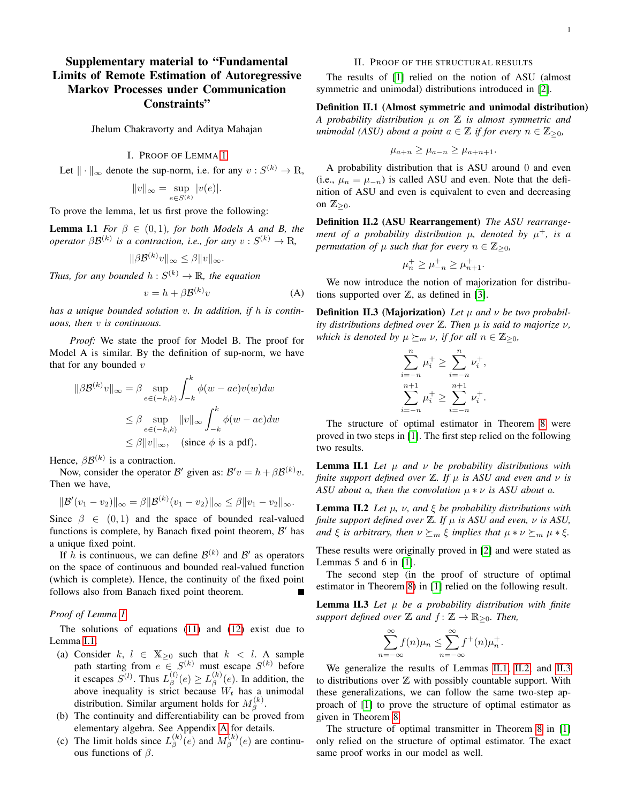## Supplementary material to "Fundamental Limits of Remote Estimation of Autoregressive Markov Processes under Communication Constraints"

Jhelum Chakravorty and Aditya Mahajan

I. PROOF OF LEMMA 1

Let 
$$
\|\cdot\|_{\infty}
$$
 denote the sup-norm, i.e. for any  $v: S^{(k)} \to \mathbb{R}$ ,

$$
||v||_{\infty} = \sup_{e \in S^{(k)}} |v(e)|.
$$

To prove the lemma, let us first prove the following:

**Lemma I.1** *For*  $\beta \in (0,1)$ *, for both Models A and B, the operator*  $\beta \mathcal{B}^{(k)}$  *is a contraction, i.e., for any*  $v : S^{(k)} \to \mathbb{R}$ ,

$$
\|\beta \mathcal{B}^{(k)}v\|_{\infty} \leq \beta \|v\|_{\infty}.
$$

*Thus, for any bounded*  $h: S^{(k)} \to \mathbb{R}$ *, the equation* 

$$
v = h + \beta \mathcal{B}^{(k)} v \tag{A}
$$

*has a unique bounded solution* v*. In addition, if* h *is continuous, then* v *is continuous.*

*Proof:* We state the proof for Model B. The proof for Model A is similar. By the definition of sup-norm, we have that for any bounded  $v$ 

$$
\|\beta \mathcal{B}^{(k)} v\|_{\infty} = \beta \sup_{e \in (-k,k)} \int_{-k}^{k} \phi(w - ae) v(w) dw
$$
  

$$
\leq \beta \sup_{e \in (-k,k)} \|v\|_{\infty} \int_{-k}^{k} \phi(w - ae) dw
$$
  

$$
\leq \beta \|v\|_{\infty}, \quad \text{(since } \phi \text{ is a pdf).}
$$

Hence,  $\beta \mathcal{B}^{(k)}$  is a contraction.

Now, consider the operator  $\mathcal{B}'$  given as:  $\mathcal{B}'v = h + \beta \mathcal{B}^{(k)}v$ . Then we have,

$$
\|\mathcal{B}'(v_1 - v_2)\|_{\infty} = \beta \|\mathcal{B}^{(k)}(v_1 - v_2)\|_{\infty} \leq \beta \|v_1 - v_2\|_{\infty}.
$$

Since  $\beta \in (0, 1)$  and the space of bounded real-valued functions is complete, by Banach fixed point theorem,  $\mathcal{B}'$  has a unique fixed point.

If h is continuous, we can define  $\mathcal{B}^{(k)}$  and  $\mathcal{B}'$  as operators on the space of continuous and bounded real-valued function (which is complete). Hence, the continuity of the fixed point follows also from Banach fixed point theorem.

#### *Proof of Lemma 1*

The solutions of equations (11) and (12) exist due to Lemma I.1.

- (a) Consider  $k, l \in \mathbb{X}_{\geq 0}$  such that  $k < l$ . A sample path starting from  $e \in S^{(k)}$  must escape  $S^{(k)}$  before it escapes  $S^{(l)}$ . Thus  $L^{(l)}_A$  $\binom{l}{\beta}(e) \ge L_{\beta}^{(k)}$  $\beta^{(\kappa)}(e)$ . In addition, the above inequality is strict because  $W_t$  has a unimodal distribution. Similar argument holds for  $M_A^{(k)}$  $\overset{(\kappa)}{\beta}$ .
- (b) The continuity and differentiability can be proved from elementary algebra. See Appendix A for details.
- (c) The limit holds since  $L_3^{(k)}$  $\binom{k}{\beta}$  (e) and  $M_{\beta}^{(k)}$  $\beta^{(\kappa)}(e)$  are continuous functions of  $\beta$ .

#### II. PROOF OF THE STRUCTURAL RESULTS

The results of [1] relied on the notion of ASU (almost symmetric and unimodal) distributions introduced in [2].

## Definition II.1 (Almost symmetric and unimodal distribution)

*A probability distribution* µ *on* Z *is almost symmetric and unimodal (ASU) about a point*  $a \in \mathbb{Z}$  *if for every*  $n \in \mathbb{Z}_{\geq 0}$ *,* 

$$
\mu_{a+n} \ge \mu_{a-n} \ge \mu_{a+n+1}.
$$

A probability distribution that is ASU around 0 and even (i.e.,  $\mu_n = \mu_{-n}$ ) is called ASU and even. Note that the definition of ASU and even is equivalent to even and decreasing on  $\mathbb{Z}_{\geq 0}$ .

Definition II.2 (ASU Rearrangement) *The ASU rearrange*ment of a probability distribution  $\mu$ , denoted by  $\mu^+$ , is a *permutation of*  $\mu$  *such that for every*  $n \in \mathbb{Z}_{\geq 0}$ *,* 

$$
\mu_n^+ \ge \mu_{-n}^+ \ge \mu_{n+1}^+.
$$

We now introduce the notion of majorization for distributions supported over  $\mathbb{Z}$ , as defined in [3].

**Definition II.3 (Majorization)** Let μ and ν be two probabil*ity distributions defined over* Z*. Then* µ *is said to majorize* ν*, which is denoted by*  $\mu \succeq_m \nu$ *, if for all*  $n \in \mathbb{Z}_{\geq 0}$ *,* 

$$
\sum_{i=-n}^{n} \mu_i^+ \ge \sum_{i=-n}^{n} \nu_i^+, \sum_{i=-n}^{n+1} \mu_i^+ \ge \sum_{i=-n}^{n+1} \nu_i^+.
$$

The structure of optimal estimator in Theorem 8 were proved in two steps in [1]. The first step relied on the following two results.

Lemma II.1 *Let* µ *and* ν *be probability distributions with finite support defined over*  $\mathbb{Z}$ *. If*  $\mu$  *is ASU and even and*  $\nu$  *is ASU about a, then the convolution*  $\mu * \nu$  *is ASU about a.* 

**Lemma II.2** *Let*  $\mu$ *,*  $\nu$ *, and*  $\xi$  *be probability distributions with finite support defined over* Z*. If* µ *is ASU and even,* ν *is ASU, and*  $\xi$  *is arbitrary, then*  $\nu \succeq_m \xi$  *implies that*  $\mu * \nu \succeq_m \mu * \xi$ *.* 

These results were originally proved in [2] and were stated as Lemmas  $5$  and  $6$  in  $[1]$ .

The second step (in the proof of structure of optimal estimator in Theorem 8) in [1] relied on the following result.

Lemma II.3 *Let* µ *be a probability distribution with finite support defined over*  $\mathbb{Z}$  *and*  $f : \mathbb{Z} \to \mathbb{R}_{\geq 0}$ *. Then,* 

$$
\sum_{n=-\infty}^{\infty} f(n)\mu_n \leq \sum_{n=-\infty}^{\infty} f^+(n)\mu_n^+
$$

.

 $\overline{n}$ 

We generalize the results of Lemmas II.1, II.2, and II.3 to distributions over  $Z$  with possibly countable support. With these generalizations, we can follow the same two-step approach of [1] to prove the structure of optimal estimator as given in Theorem 8.

The structure of optimal transmitter in Theorem 8 in [1] only relied on the structure of optimal estimator. The exact same proof works in our model as well.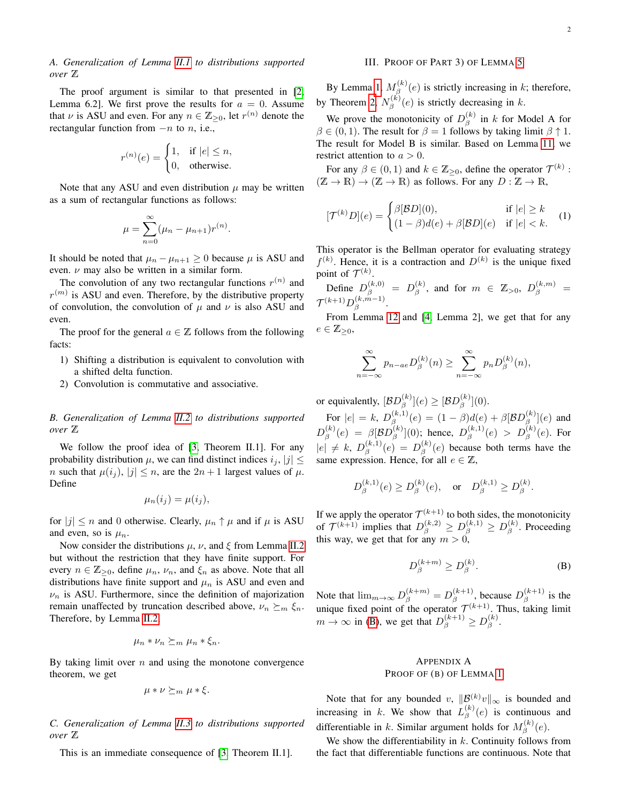## *A. Generalization of Lemma II.1 to distributions supported over* Z

The proof argument is similar to that presented in [2, Lemma 6.2]. We first prove the results for  $a = 0$ . Assume that  $\nu$  is ASU and even. For any  $n \in \mathbb{Z}_{\geq 0}$ , let  $r^{(n)}$  denote the rectangular function from  $-n$  to n, i.e.,

$$
r^{(n)}(e) = \begin{cases} 1, & \text{if } |e| \le n, \\ 0, & \text{otherwise.} \end{cases}
$$

Note that any ASU and even distribution  $\mu$  may be written as a sum of rectangular functions as follows:

$$
\mu = \sum_{n=0}^{\infty} (\mu_n - \mu_{n+1}) r^{(n)}
$$

.

It should be noted that  $\mu_n - \mu_{n+1} \geq 0$  because  $\mu$  is ASU and even.  $\nu$  may also be written in a similar form.

The convolution of any two rectangular functions  $r^{(n)}$  and  $r^{(m)}$  is ASU and even. Therefore, by the distributive property of convolution, the convolution of  $\mu$  and  $\nu$  is also ASU and even.

The proof for the general  $a \in \mathbb{Z}$  follows from the following facts:

- 1) Shifting a distribution is equivalent to convolution with a shifted delta function.
- 2) Convolution is commutative and associative.

*B. Generalization of Lemma II.2 to distributions supported over* Z

We follow the proof idea of [3, Theorem II.1]. For any probability distribution  $\mu$ , we can find distinct indices  $i_j$ ,  $|j| \leq$ *n* such that  $\mu(i_j)$ ,  $|j| \leq n$ , are the  $2n + 1$  largest values of  $\mu$ . Define

$$
\mu_n(i_j) = \mu(i_j),
$$

for  $|j| \le n$  and 0 otherwise. Clearly,  $\mu_n \uparrow \mu$  and if  $\mu$  is ASU and even, so is  $\mu_n$ .

Now consider the distributions  $\mu$ ,  $\nu$ , and  $\xi$  from Lemma II.2 but without the restriction that they have finite support. For every  $n \in \mathbb{Z}_{\geq 0}$ , define  $\mu_n$ ,  $\nu_n$ , and  $\xi_n$  as above. Note that all distributions have finite support and  $\mu_n$  is ASU and even and  $\nu_n$  is ASU. Furthermore, since the definition of majorization remain unaffected by truncation described above,  $\nu_n \succeq_m \xi_n$ . Therefore, by Lemma II.2,

$$
\mu_n * \nu_n \succeq_m \mu_n * \xi_n.
$$

By taking limit over  $n$  and using the monotone convergence theorem, we get

$$
\mu * \nu \succeq_m \mu * \xi.
$$

*C. Generalization of Lemma II.3 to distributions supported over* Z

This is an immediate consequence of [3, Theorem II.1].

## III. PROOF OF PART 3) OF LEMMA 5

By Lemma 1,  $M^{(k)}_{\beta}$  $\beta^{(k)}(e)$  is strictly increasing in k; therefore, by Theorem 2,  $N_{\beta}^{(k)}$  $\beta^{(k)}(e)$  is strictly decreasing in k.

We prove the monotonicity of  $D_8^{(k)}$  $\int_{\beta}^{(k)}$  in k for Model A for  $\beta \in (0, 1)$ . The result for  $\beta = 1$  follows by taking limit  $\beta \uparrow 1$ . The result for Model B is similar. Based on Lemma 11, we restrict attention to  $a > 0$ .

For any  $\beta \in (0,1)$  and  $k \in \mathbb{Z}_{\geq 0}$ , define the operator  $\mathcal{T}^{(k)}$ :  $(\mathbb{Z} \to \mathbb{R}) \to (\mathbb{Z} \to \mathbb{R})$  as follows. For any  $D : \mathbb{Z} \to \mathbb{R}$ ,

$$
[\mathcal{T}^{(k)}D](e) = \begin{cases} \beta[\mathcal{B}D](0), & \text{if } |e| \ge k \\ (1-\beta)d(e) + \beta[\mathcal{B}D](e) & \text{if } |e| < k. \end{cases}
$$
 (1)

This operator is the Bellman operator for evaluating strategy  $f^{(k)}$ . Hence, it is a contraction and  $D^{(k)}$  is the unique fixed point of  $\mathcal{T}^{(k)}$ .

Define  $D_{\beta}^{(k,0)} = D_{\beta}^{(k)}$  $\mathcal{L}_{\beta}^{(k)}$ , and for  $m \in \mathbb{Z}_{>0}$ ,  $D_{\beta}^{(k,m)} =$  ${\cal T}^{(k+1)}D_{{\beta}}^{(k,m-1)}$  $\frac{(\kappa,m-1)}{\beta}$ .

From Lemma 12 and [4, Lemma 2], we get that for any  $e \in \mathbb{Z}_{\geq 0}$ 

$$
\sum_{n=-\infty}^{\infty} p_{n-ae} D_{\beta}^{(k)}(n) \ge \sum_{n=-\infty}^{\infty} p_n D_{\beta}^{(k)}(n),
$$

or equivalently,  $[\mathcal{B}D_{\beta}^{(k)}]$  $\binom{k}{\beta} (e) \geq [{\cal B} D^{(k)}_{\beta}]$  $\binom{\kappa}{\beta} (0).$ 

For  $|e| = k$ ,  $D_{\beta}^{(k,1)}$  $\beta^{(k,1)}_\beta(e)\,=\,(1-\beta)d(e)+\beta[\mathcal{B}D_\beta^{(k)}]$  $\binom{\kappa}{\beta}$  (e) and  $D^{(k)}_{\scriptscriptstyle\mathcal{B}}$  $\beta^{(k)}_{\beta}(e) = \beta[\mathcal{B}D^{(k)}_{\beta}]$  $\binom{k}{\beta} (0)$ ; hence,  $D_{\beta}^{(k,1)}$  $D^{(k,1)}_{\beta}(e) > D^{(k)}_{\beta}(e)$ . For  $|e| \neq k, D_{\beta}^{(k,1)}$  $\beta^{(k,1)}_{\beta}(e)\,=\,D^{(k)}_{\beta}$  $\beta^{(k)}(e)$  because both terms have the same expression. Hence, for all  $e \in \mathbb{Z}$ ,

$$
D_{\beta}^{(k,1)}(e) \ge D_{\beta}^{(k)}(e)
$$
, or  $D_{\beta}^{(k,1)} \ge D_{\beta}^{(k)}$ .

If we apply the operator  $\mathcal{T}^{(k+1)}$  to both sides, the monotonicity of  $\mathcal{T}^{(k+1)}$  implies that  $D_{\beta}^{(k,2)} \ge D_{\beta}^{(k,1)} \ge D_{\beta}^{(k)}$  $\int_{\beta}^{(\kappa)}$ . Proceeding this way, we get that for any  $m > 0$ ,

$$
D_{\beta}^{(k+m)} \ge D_{\beta}^{(k)}.
$$
 (B)

Note that  $\lim_{m\to\infty} D_{\beta}^{(k+m)} = D_{\beta}^{(k+1)}$  $\beta^{(k+1)}$ , because  $D_{\beta}^{(k+1)}$  $\int_{\beta}^{(\kappa+1)}$  is the unique fixed point of the operator  $\mathcal{T}^{(k+1)}$ . Thus, taking limit  $m \to \infty$  in (B), we get that  $D_{\beta}^{(k+1)} \ge D_{\beta}^{(k)}$  $\overset{(\kappa)}{\beta}$ .

## APPENDIX A PROOF OF (B) OF LEMMA 1

Note that for any bounded v,  $\|\mathcal{B}^{(k)}v\|_{\infty}$  is bounded and increasing in k. We show that  $L_8^{(k)}$  $\beta^{(\kappa)}(e)$  is continuous and differentiable in k. Similar argument holds for  $M_A^{(k)}$  $\beta^{(\kappa)}(e).$ 

We show the differentiability in  $k$ . Continuity follows from the fact that differentiable functions are continuous. Note that